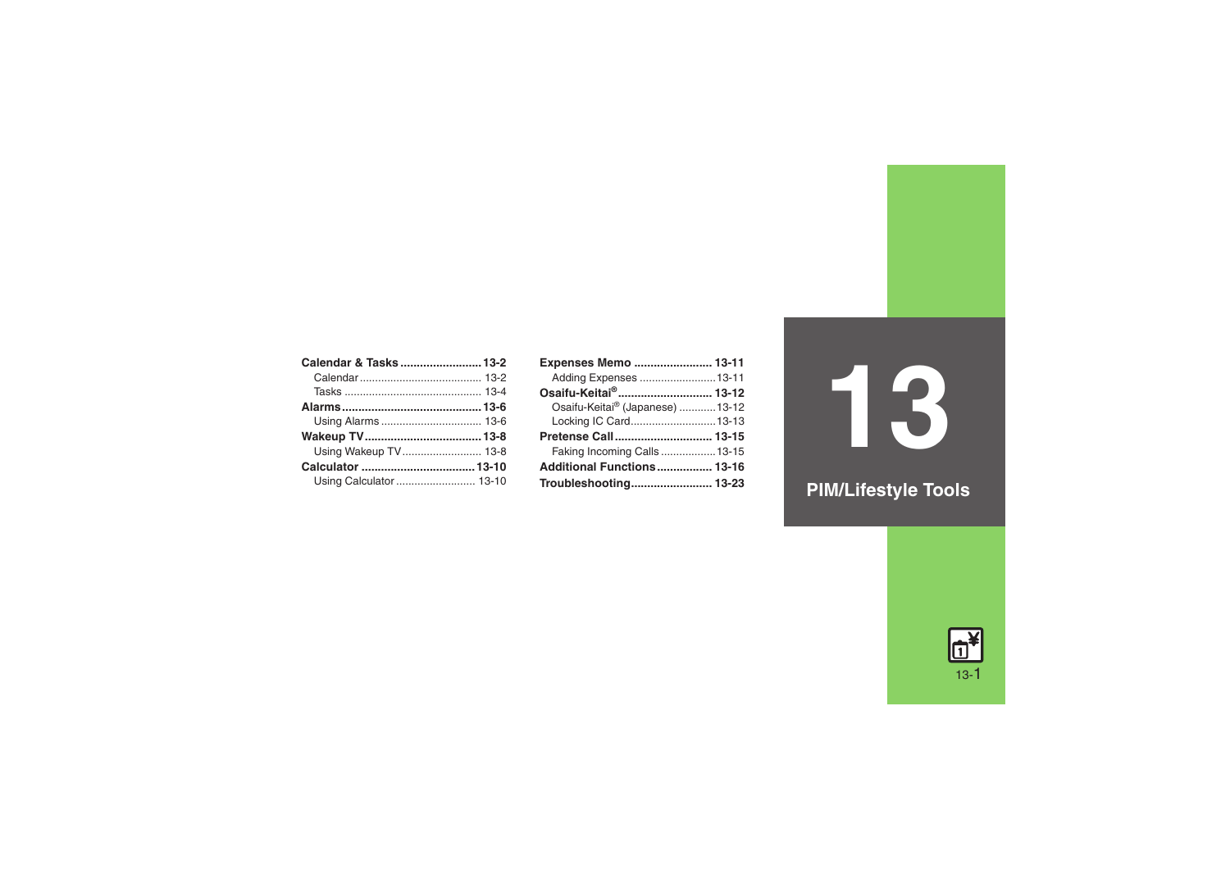| Calendar & Tasks  13-2 |
|------------------------|
|                        |
|                        |
|                        |
|                        |
|                        |
| Using Wakeup TV 13-8   |
|                        |
|                        |
|                        |

| Expenses Memo  13-11             |  |
|----------------------------------|--|
| Adding Expenses  13-11           |  |
| Osaifu-Keitai® 13-12             |  |
| Osaifu-Keitai® (Japanese)  13-12 |  |
| Locking IC Card13-13             |  |
| Pretense Call 13-15              |  |
| Faking Incoming Calls13-15       |  |
| Additional Functions 13-16       |  |
| Troubleshooting 13-23            |  |

**13**

**PIM/Lifestyle Tools**

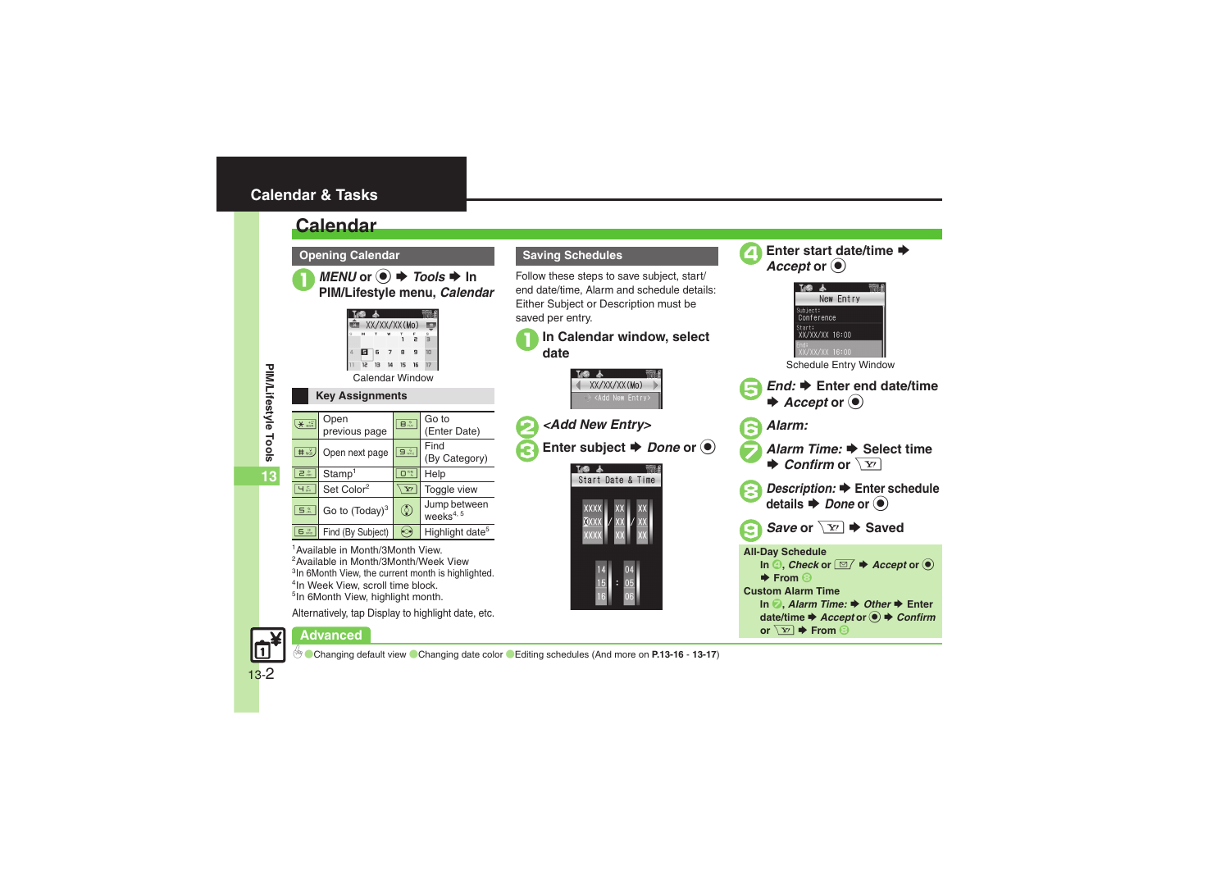# <span id="page-1-0"></span>**Calendar & Tasks**

# <span id="page-1-1"></span>**Calendar**

**Opening Calendar**



*MENU* or ● *→ Tools* → In<br>PIM/Lifestyle menu, *Calendar* Tung **E XX/XX/XX(Mo)** 

> 12  $13$

**13**

| <b>Key Assignments</b> |  |
|------------------------|--|

| $*$                | Open<br>previous page  | $B_{\text{tw}}^*$ | Go to<br>(Enter Date)                 |
|--------------------|------------------------|-------------------|---------------------------------------|
| $\pm \frac{3}{10}$ | Open next page         | 9 <sub>max</sub>  | Find<br>(By Category)                 |
| 2 <sup>b</sup>     | Stamp <sup>1</sup>     | $\Box$ $\mu$      | Help                                  |
| 4 <sup>2</sup>     | Set Color <sup>2</sup> | $\mathbf{Y}$      | Toggle view                           |
| 5歳                 | Go to $(Today)^3$      | $\circledcirc$    | Jump between<br>weeks <sup>4, 5</sup> |
| 6 <sup>II</sup>    | Find (By Subject)      | $\bullet \circ$   | Highlight date <sup>5</sup>           |

<sup>1</sup> Available in Month/3Month View. <sup>2</sup> Available in Month/3Month/Week View <sup>3</sup>In 6Month View, the current month is highlighted. <sup>4</sup>In Week View, scroll time block. 5In 6Month View, highlight month.

Alternatively, tap Display to highlight date, etc.

# Advanced **Advanced**

# Follow these steps to save subject, start/

**Saving Schedules**

end date/time, Alarm and schedule details: Either Subject or Description must be saved per entry.



**Enter start date/time ♦**<br>*Accept* or  $\bullet$ 

New Entry

0([Changing default view](#page-15-1) ([Changing date color](#page-15-2) ([Editing schedules](#page-16-0) (And more on **[P.13-16](#page-15-1)** - **[13-17](#page-16-0)**)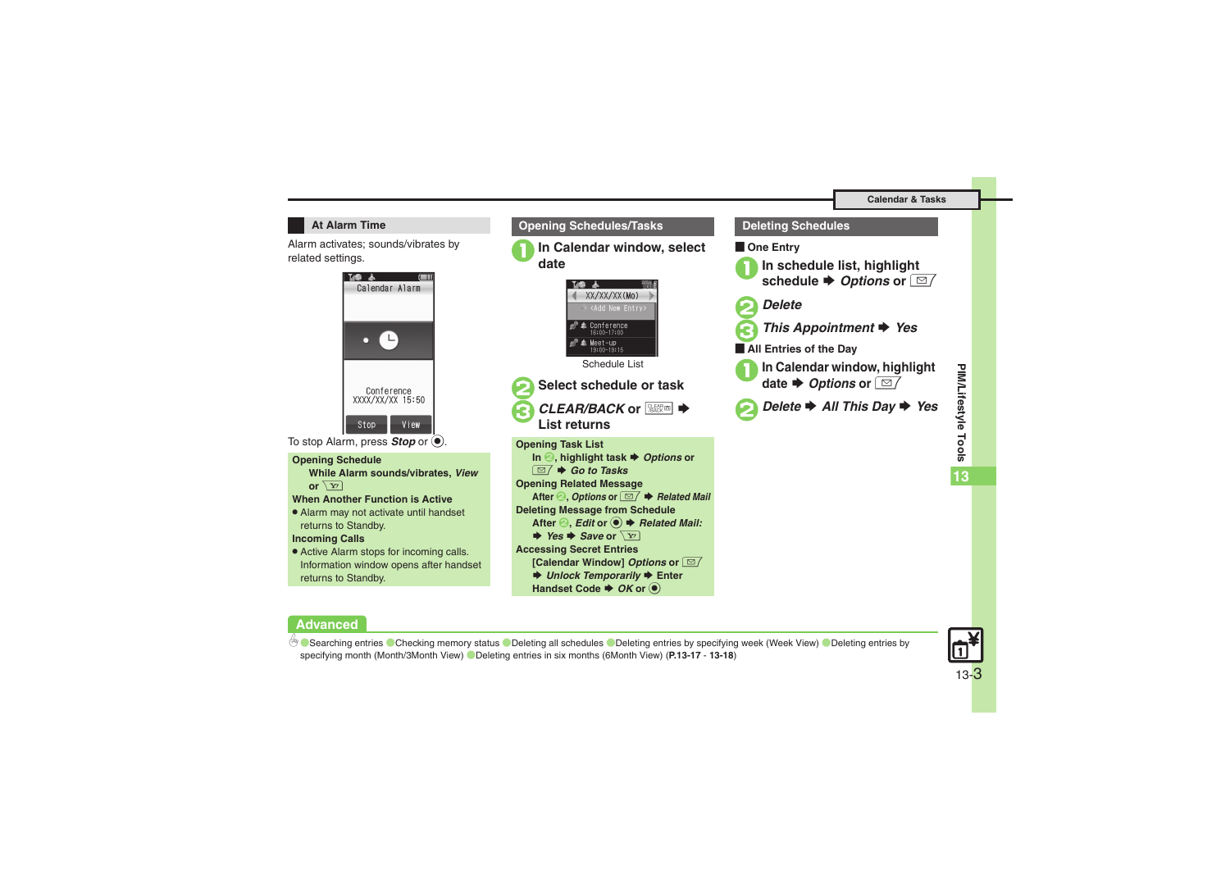### **At Alarm Time**

Alarm activates; sounds/vibrates by related settings.



To stop Alarm, press **Stop** or  $\textcircled{\small{\bullet}}$ .

### **Opening Schedule**

**While Alarm sounds/vibrates,** *View* or  $\sqrt{\mathbf{Y}'}$ 

### **When Another Function is Active**

. Alarm may not activate until handset returns to Standby.

### **Incoming Calls**

**Advanced**

b

. Active Alarm stops for incoming calls. Information window opens after handset returns to Standby.



# **1In schedule list, highlight schedule ♦** *Options* **or**  $\boxed{\textcircled{2}}$ 3*This Appointment* S *Yes* **All Entries of the Day In Calendar window, highlight**  S *Options* **or**  B2*Delete* S *All This Day* S *Yes*



C[Searching entries](#page-16-1) C[Checking memory status](#page-16-2) C[Deleting all schedules](#page-16-3) C[Deleting entries by specifying week \(Week View\)](#page-17-0) CDeleting entries by [specifying month \(Month/3Month View\)](#page-17-1)  ([Deleting entries in six months \(6Month View\)](#page-17-2) (**[P.13-17](#page-16-1)** - **[13-18](#page-17-1)**)

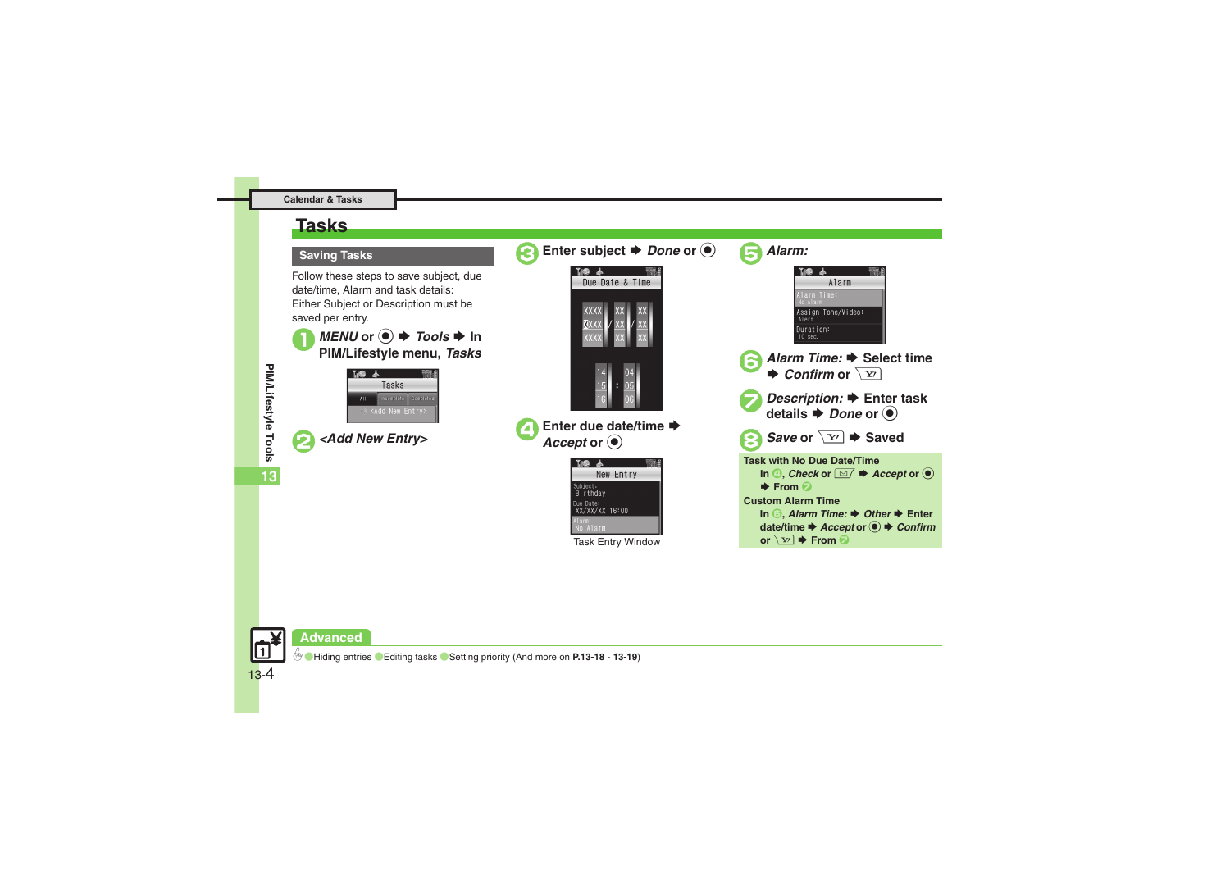# <span id="page-3-0"></span>**Tasks**

### **Saving Tasks**

Follow these steps to save subject, due date/time, Alarm and task details: Either Subject or Description must be saved per entry.



*MENU* or ● *P Tools → In PIM/Lifestyle menu, <i>Tasks* 



**13**

2*<Add New Entry>*

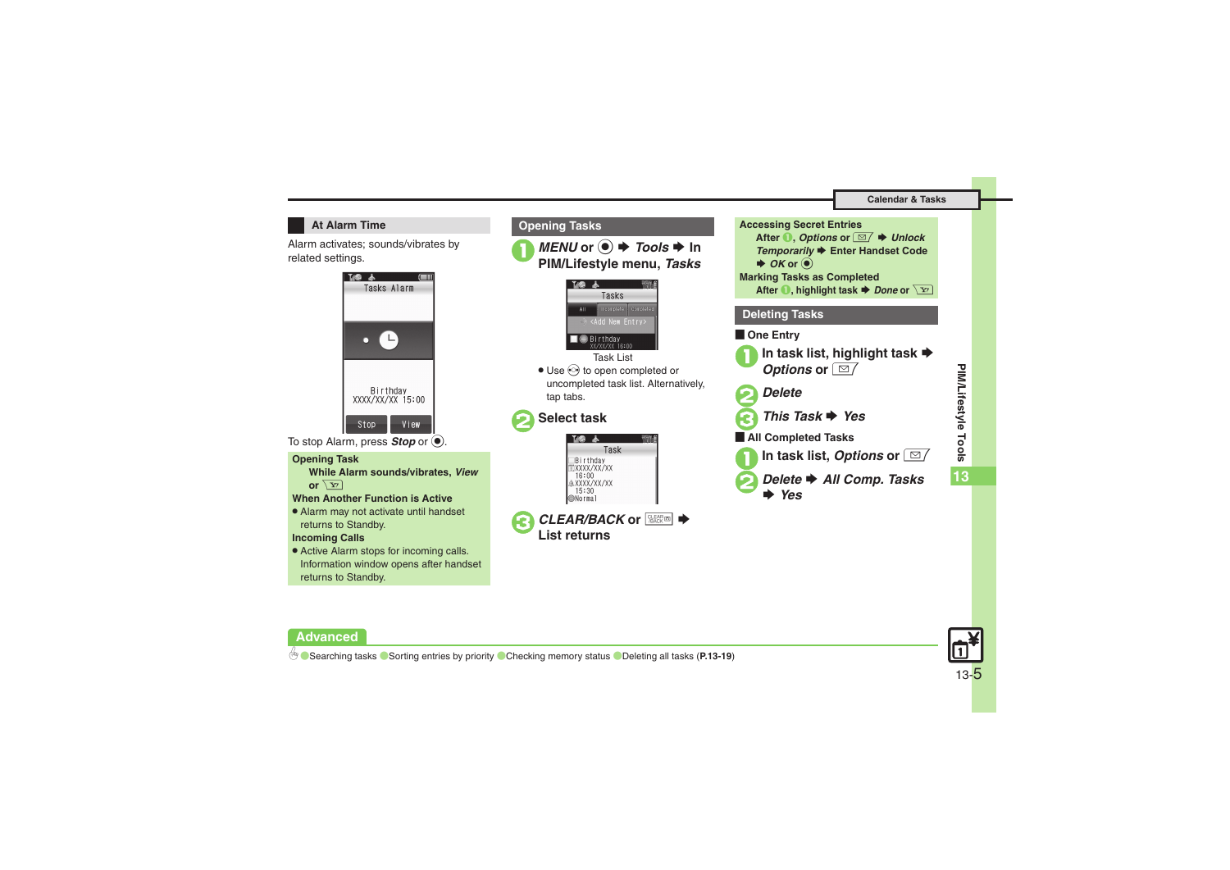### **At Alarm Time**

Alarm activates; sounds/vibrates by related settings.



To stop Alarm, press **Stop** or  $\textcircled{\small{\bullet}}$ .

### **Opening Task**

**While Alarm sounds/vibrates,** *View* **or**  $\boxed{Y'}$ 

### **When Another Function is Active**

. Alarm may not activate until handset returns to Standby.

**Incoming Calls**

**Advanced**

. Active Alarm stops for incoming calls. Information window opens after handset returns to Standby.





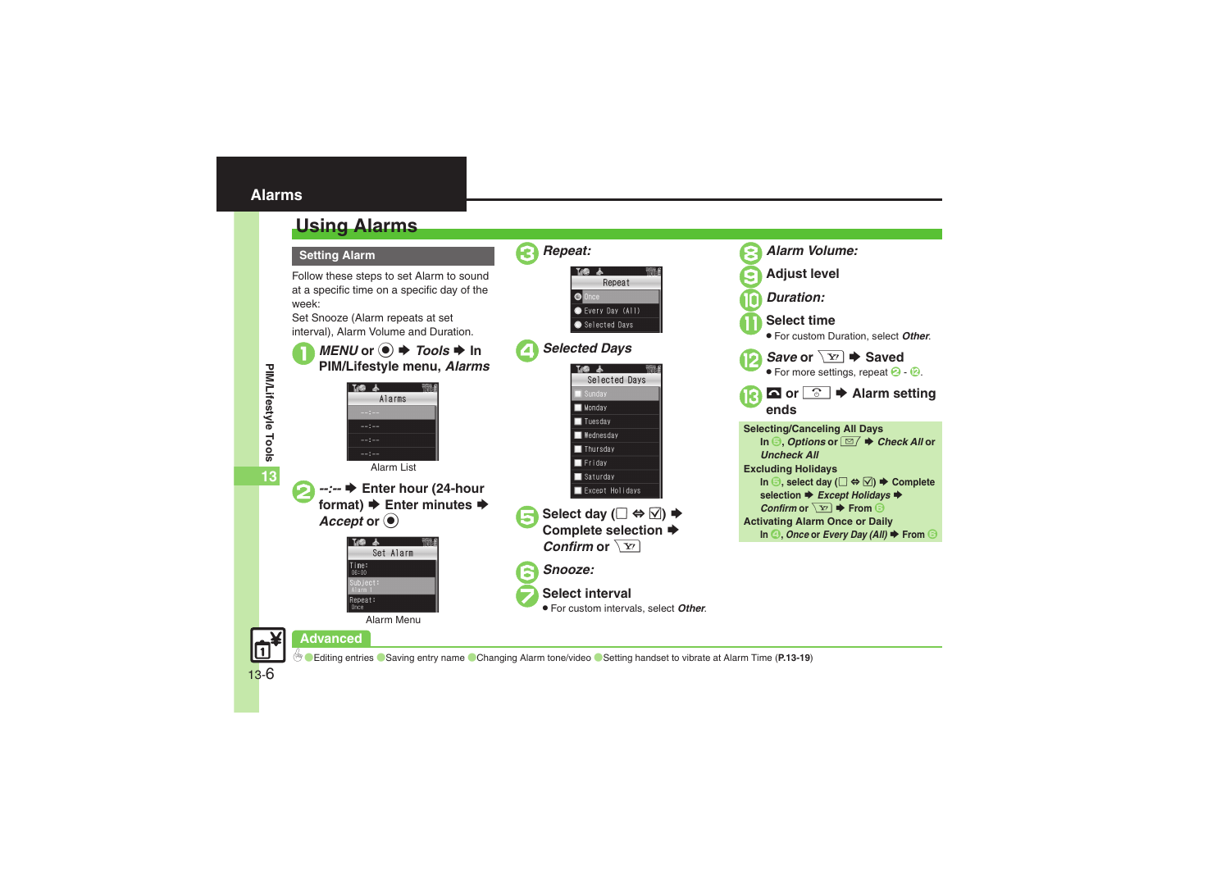<span id="page-5-1"></span><span id="page-5-0"></span>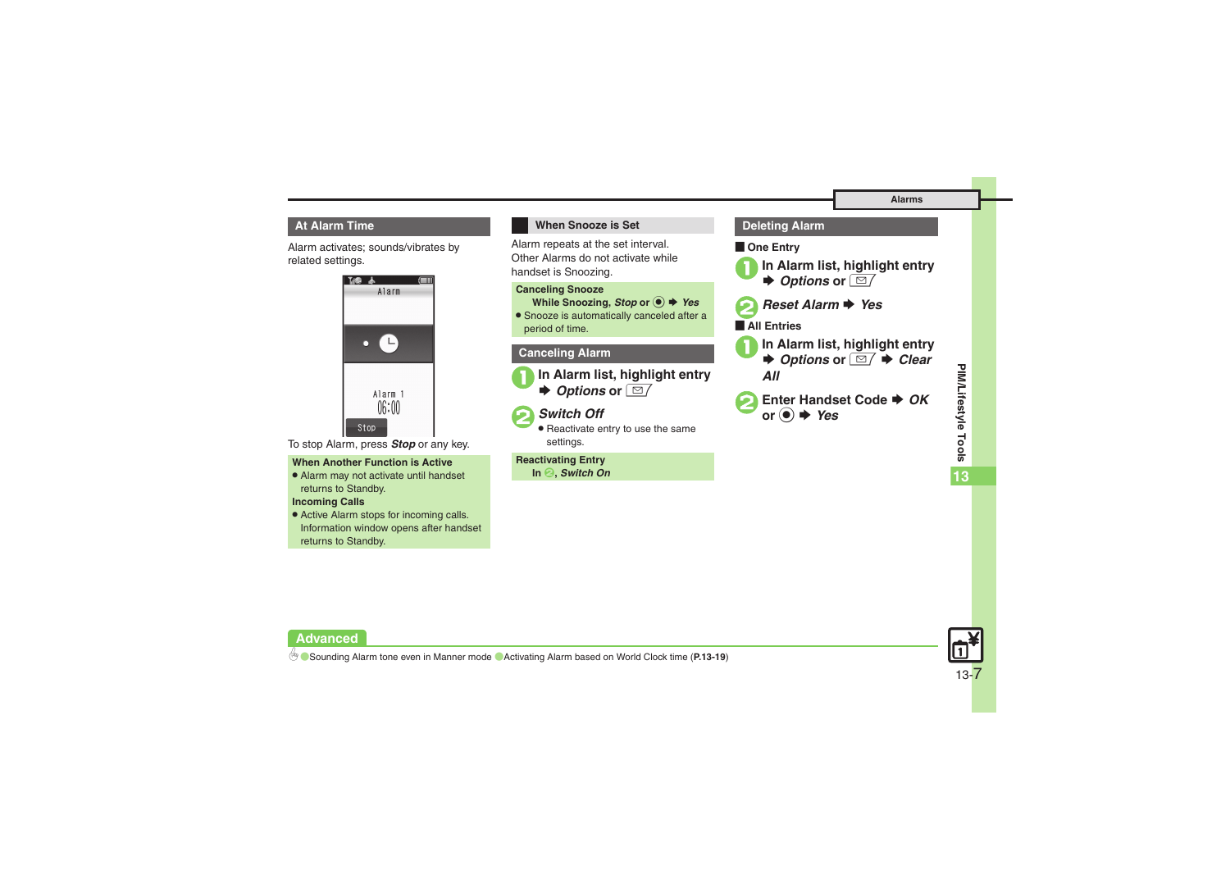### **At Alarm Time**

Alarm activates; sounds/vibrates by related settings.



To stop Alarm, press *Stop* or any key.

### **When Another Function is Active**

. Alarm may not activate until handset returns to Standby.

### **Incoming Calls**

**Advanced**

. Active Alarm stops for incoming calls. Information window opens after handset returns to Standby.

## **When Snooze is Set**

Alarm repeats at the set interval. Other Alarms do not activate while handset is Snoozing.

#### **Canceling Snooze**

**While Snoozing,** *Stop* **or**  % S *Yes*

. Snooze is automatically canceled after a period of time.

### **Canceling Alarm**



1**In Alarm list, highlight entry**   $\blacktriangleright$ *Options* or ⊠

# 2*Switch Off*

. Reactivate entry to use the same settings.

#### **Reactivating Entry In**  2**,** *Switch On*

**De Entry** 1**In Alarm list, highlight entry**   $\rightarrow$ *Options* or ⊠

**Deleting Alarm**

2*Reset Alarm* S *Yes*

#### $\blacksquare$ **All Entries**

- 1**In Alarm list, highlight entry**   $\rightarrow$  **Options or**  $\boxed{\cong}$  **→ Clear** *All*
- **2** Enter Handset Code ♦ OK **or** % S *Yes*



b **C** [Sounding Alarm tone even in Manner mode](#page-19-0) C[Activating Alarm based on World Clock time](#page-18-9) ([P.13-19](#page-18-5))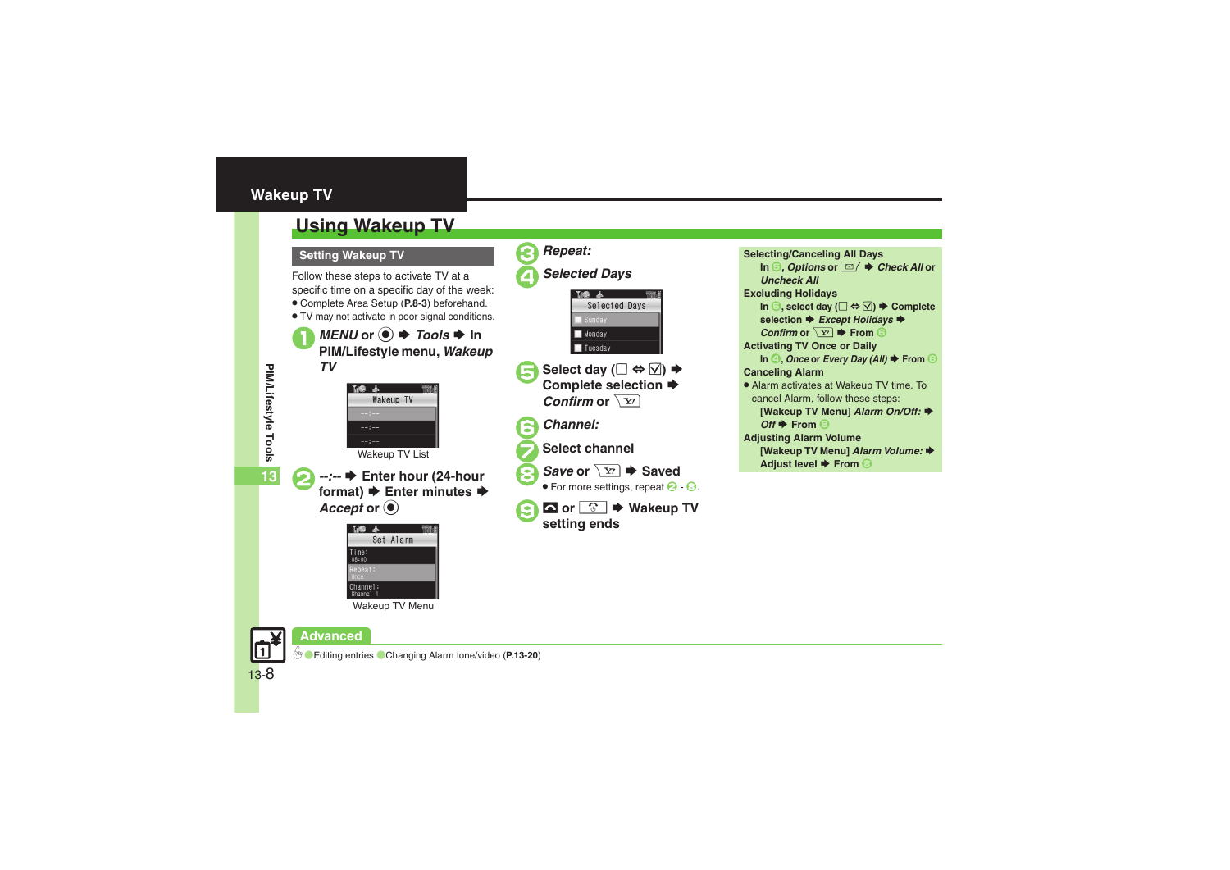# <span id="page-7-0"></span>**Wakeup TV**

# <span id="page-7-1"></span>**Using Wakeup TV**

Follow these steps to activate TV at a specific time on a specific day of the week:

- . Complete Area Setup (**P.8-3**) beforehand.
- . TV may not activate in poor signal conditions.

*MENU* or ◉ ♦ *Tools* ♦ In<br>PIM/Lifestyle menu, *Wakeup TV*







**Setting Wakeup TV Selecting/Canceling All Days Selecting/Canceling All Days In <b>6**, *Options* or **⊠**  $\rightarrow$  *Check All* or *Uncheck All***Excluding Holidays In**  $\bigcirc$ **, select day (** $\Box \Leftrightarrow \Box$ **)**  $\blacktriangleright$  **Complete selection ♦ Except Holidays ♦** *Confirm* or  $\overline{Y}$   $\rightarrow$  From **6 Activating TV Once or Daily In** *A***,** *Once* or *Every Day (All)* ♦ From **↑ Canceling Alarm** • Alarm activates at Wakeup TV time. To cancel Alarm, follow these steps: **[Wakeup TV Menu] Alarm On/Off: ♦**  $Off$  **From** 8 **Adjusting Alarm Volume [Wakeup TV Menu] Alarm Volume: ♦ Adjust level → From 8** 

Wakeup TV Menu



0([Editing entries](#page-19-1) ([Changing Alarm tone/video](#page-19-2) (**[P.13-20](#page-19-0)**)

PIM/Lifestyle Tools **PIM/Lifestyle Tools 13**

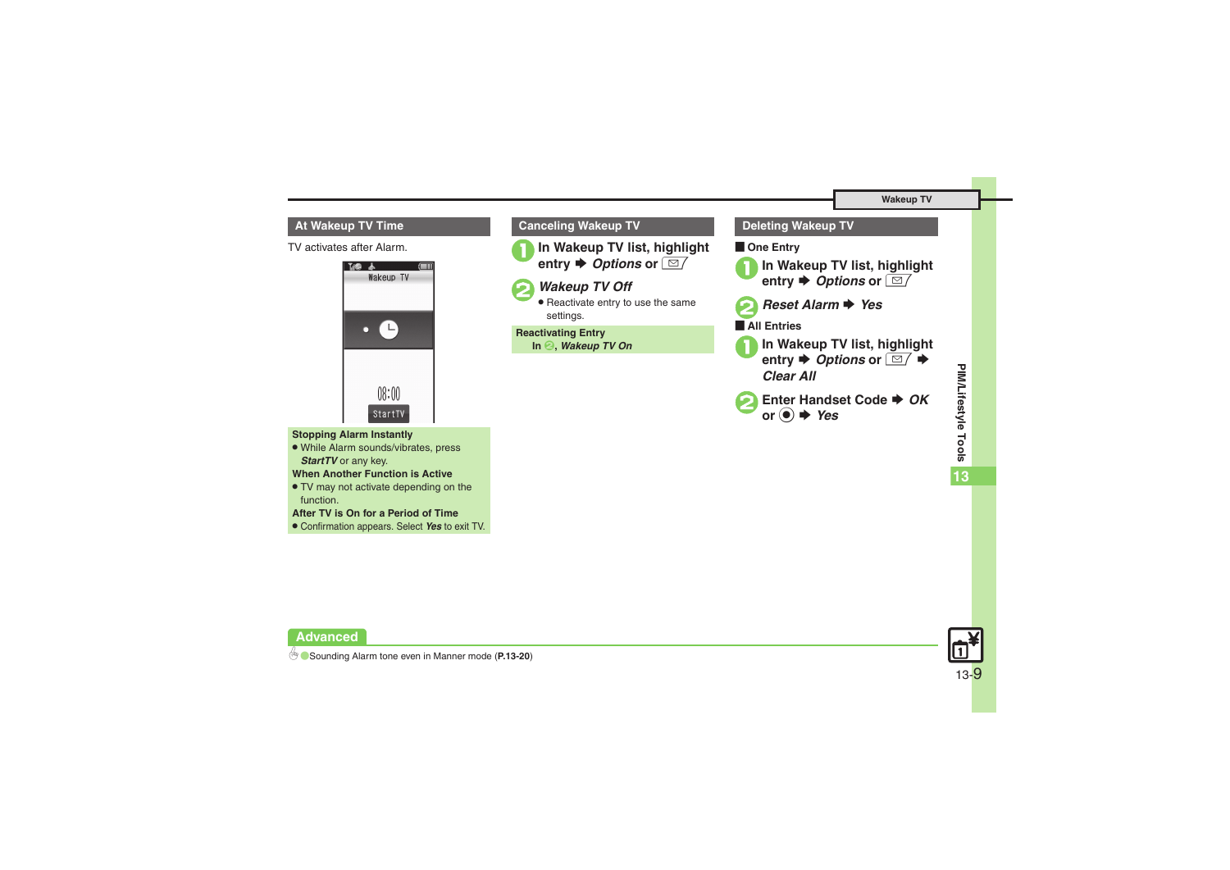# **At Wakeup TV Time**

TV activates after Alarm.



**Stopping Alarm Instantly**

. While Alarm sounds/vibrates, press *StartTV* or any key.

**When Another Function is Active**

. TV may not activate depending on the function.

**After TV is On for a Period of Time**

. Confirmation appears. Select *Yes* to exit TV.



# **Deleting Wakeup TV**

# **De Entry**





### **All Entries**

- **1In Wakeup TV list, highlight**<br>entry ♦ *Options* or  $\boxed{\textcircled{2}}$  ♦ *Clear All*
- Enter Handset Code **→ OK or** % S *Yes*



**Advanced**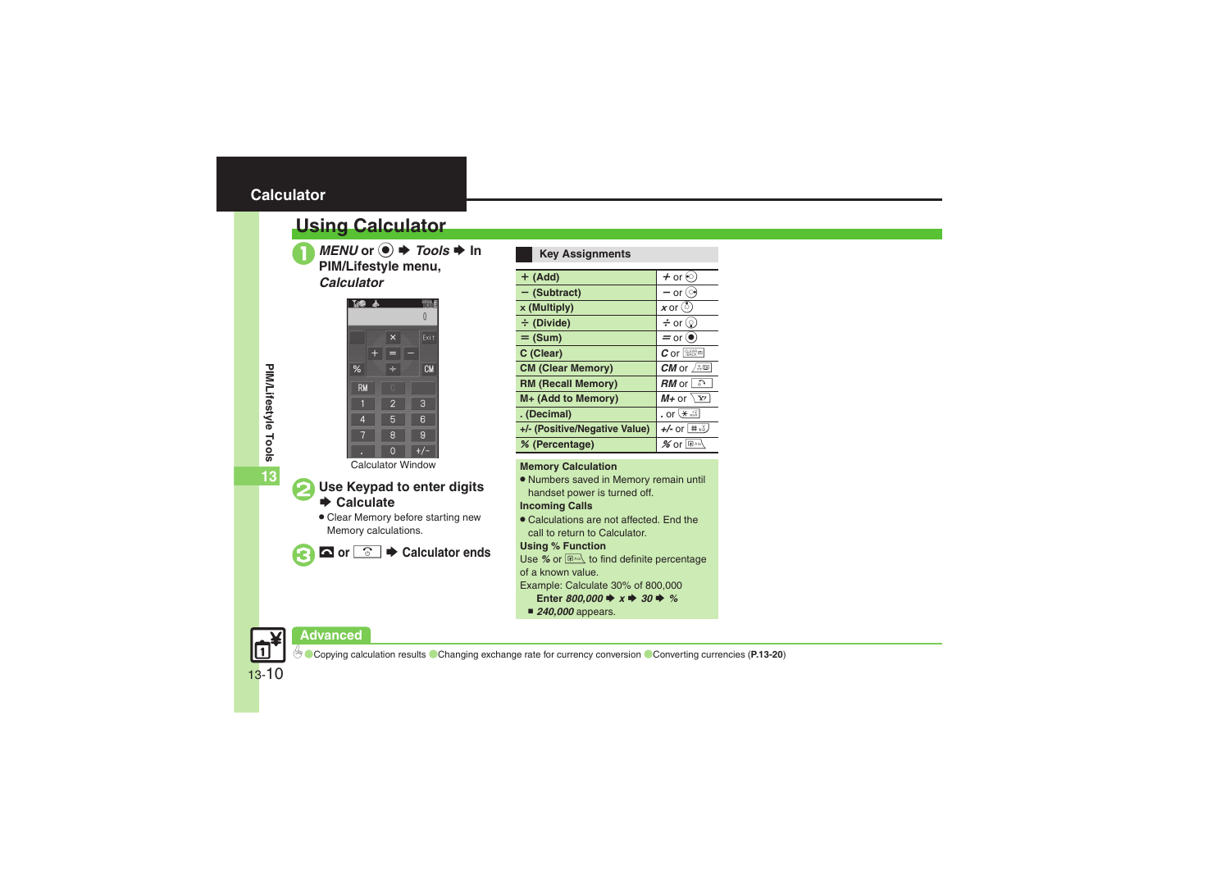# <span id="page-9-0"></span>**Calculator**

# <span id="page-9-1"></span>**Using Calculator**



*MENU* or ● *P Tools → In PIM/Lifestyle menu,* 

### *Calculator*



Calculator Window

# **Use Keypad to enter digits**<br>**▶ Calculate**

. Clear Memory before starting new Memory calculations.



**△** or <u><sup>3</sup></u>  $\rightarrow$  Calculator ends

### **Key Assignments**

| $+$ (Add)                     | $+$ or $\odot$                  |
|-------------------------------|---------------------------------|
| $-$ (Subtract)                | — or ()                         |
| x (Multiply)                  | $x$ or $(\circ)$                |
| ÷ (Divide)                    | $\div$ or $\circledcirc$        |
| $=$ (Sum)                     | $=$ or $\left( \bullet \right)$ |
| C (Clear)                     | $c$ or $\sqrt{3}$               |
| <b>CM (Clear Memory)</b>      | CM or $\sqrt{2\pi}$             |
| <b>RM (Recall Memory)</b>     | $RM$ or $\boxed{P}$             |
| M+ (Add to Memory)            | $M_{+}$ or $\sqrt{x}$           |
| . (Decimal)                   | . or $*$                        |
| +/- (Positive/Negative Value) | $+/-$ or $\pm \frac{3}{2}$      |
| % (Percentage)                | $\%$ or $\mathbb{R}^{A/b}$      |

### **Memory Calculation**

. Numbers saved in Memory remain until handset power is turned off.

## **Incoming Calls**

. Calculations are not affected. End the call to return to Calculator.

### **Using % Function**

Use % or  $\boxed{\bigcircledast}$  to find definite percentage of a known value.

Example: Calculate 30% of 800,000

- Enter  $800,000 \Rightarrow x \Rightarrow 30 \Rightarrow \%$
- *240,000* appears.

# **Advanced**



0([Copying calculation results](#page-19-3) ([Changing exchange rate for currency conversion](#page-19-4) ([Converting currencies](#page-19-5) (**[P.13-20](#page-19-3)**)

**PIM/Lifestyle Tools 13**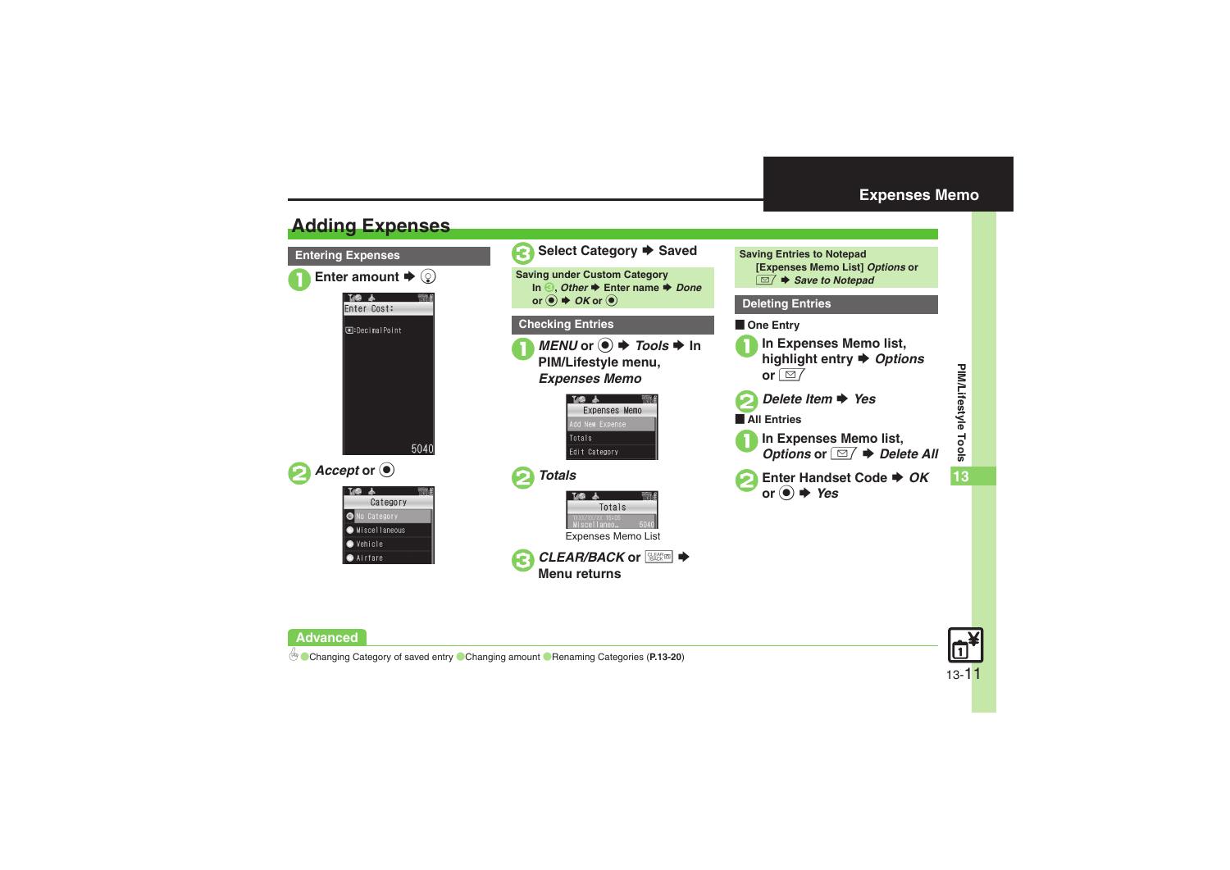# <span id="page-10-0"></span>**Expenses Memo**

# <span id="page-10-1"></span>**Adding Expenses**

**Advanced**



**PIM/Lifestyle Tools**

0([Changing Category of saved entry](#page-19-6) ([Changing amount](#page-19-7) ([Renaming Categories](#page-19-8) (**[P.13-20](#page-19-6)**)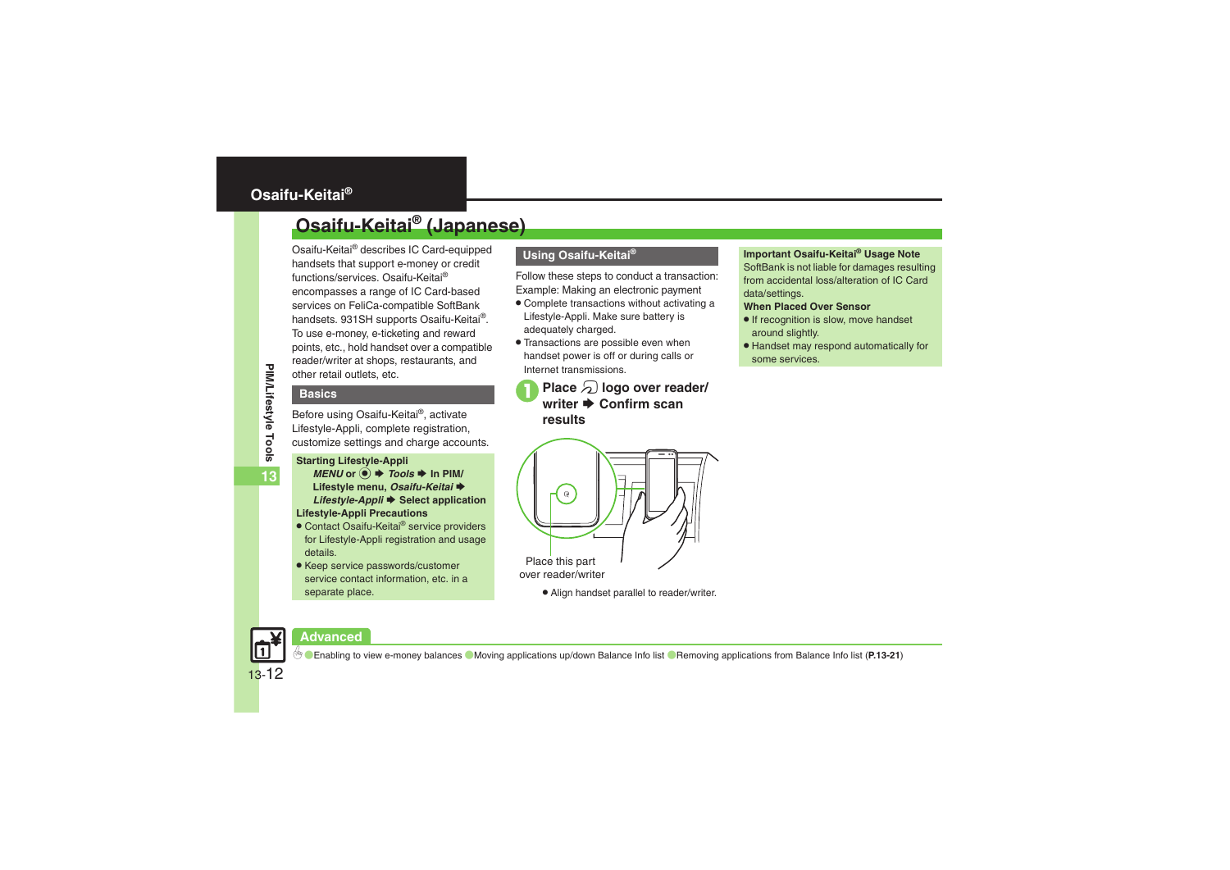# <span id="page-11-1"></span><span id="page-11-0"></span>**Osaifu-Keitai® (Japanese)**

Osaifu-Keitai® describes IC Card-equipped handsets that support e-money or credit functions/services. Osaifu-Keitai® encompasses a range of IC Card-based services on FeliCa-compatible SoftBank handsets. 931SH supports Osaifu-Keitai®. To use e-money, e-ticketing and reward points, etc., hold handset over a compatible reader/writer at shops, restaurants, and other retail outlets, etc.

# **Basics**

Before using Osaifu-Keitai®, activate Lifestyle-Appli, complete registration, customize settings and charge accounts.

#### **Starting Lifestyle-Appli**

- $MENU$  or  $\odot$   $\rightarrow$  *Tools*  $\rightarrow$  In PIM/ **Lifestyle menu, Osaifu-Keitai →** *Lifestyle-Appli* ♦ Select application **Lifestyle-Appli Precautions**
- Contact Osaifu-Keitai<sup>®</sup> service providers for Lifestyle-Appli registration and usage details.
- Keep service passwords/customer service contact information, etc. in a separate place.

# **Using Osaifu-Keitai®**

Follow these steps to conduct a transaction: Example: Making an electronic payment

- . Complete transactions without activating a Lifestyle-Appli. Make sure battery is adequately charged.
- . Transactions are possible even when handset power is off or during calls or Internet transmissions.
	- **Place**  $\Omega$  **logo over reader/** writer **→** Confirm scan **results**

### **Important Osaifu-Keitai® Usage Note**

SoftBank is not liable for damages resulting from accidental loss/alteration of IC Card data/settings.

### **When Placed Over Sensor**

- If recognition is slow, move handset around slightly.
- . Handset may respond automatically for some services.



. Align handset parallel to reader/writer.

# **Advanced**

0([Enabling to view e-money balances](#page-20-0) ([Moving applications up/down Balance Info list](#page-20-1) ([Removing applications from Balance Info list](#page-20-2) (**[P.13-21](#page-20-0)**)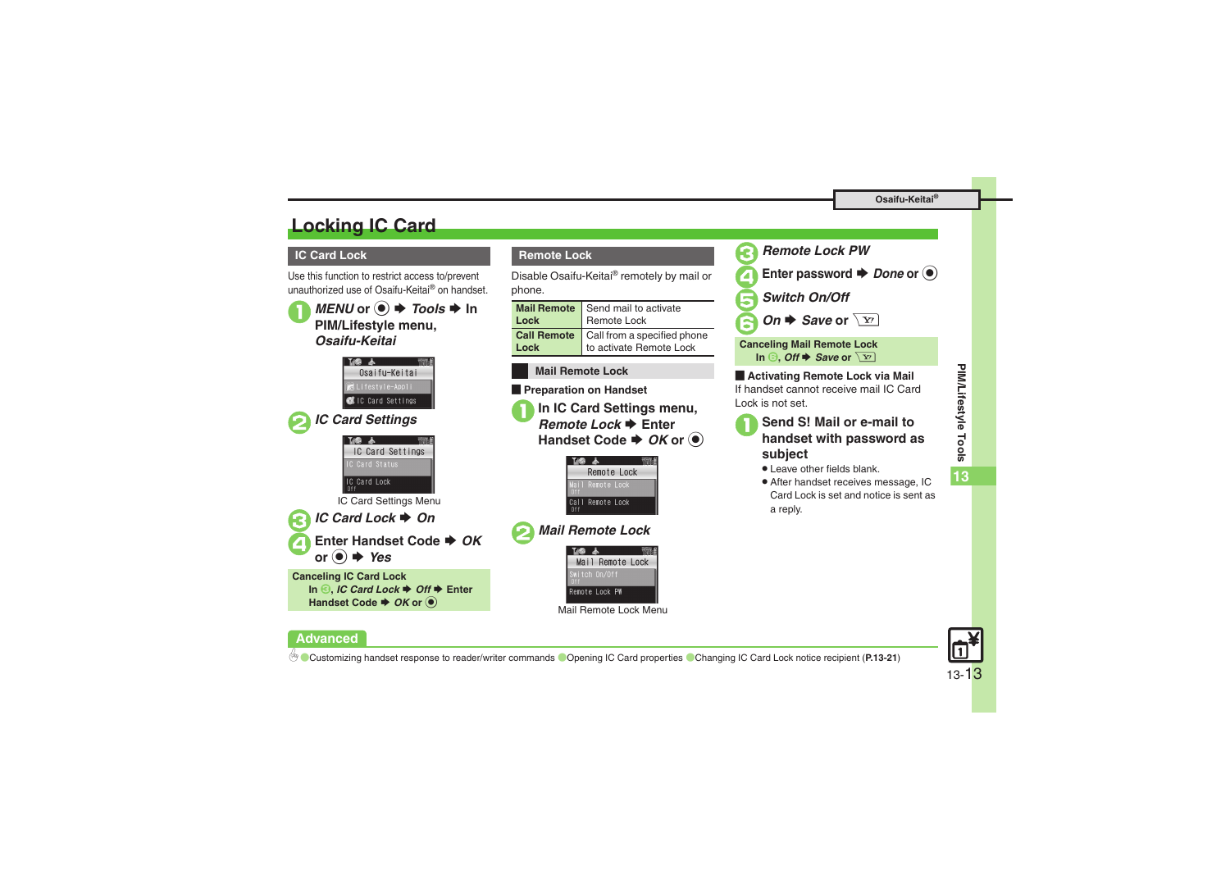# <span id="page-12-0"></span>**Locking IC Card**

# **IC Card Lock**

**Advanced**

Use this function to restrict access to/prevent unauthorized use of Osaifu-Keitai® on handset.

 $MENU$  or  $\odot \rightarrow \text{Tools} \rightarrow \text{In}$ **PIM/Lifestyle menu,**  *Osaifu-Keitai*Osaifu-Keitai हेLifestyle-Appli CIC Card Settings 2*IC Card Settings* IC Card Settings C Card Status IC Card Lock IC Card Settings Menu 3*IC Card Lock* S *On* 4**Enter Handset Code**  S *OK* **or** % S *Yes* **Canceling IC Card Lock In** *S***,** *IC Card Lock ♦ Off ♦ Enter* **Handset Code**  $\rightarrow$  **OK or**  $\odot$ 

# **Remote Lock**

Disable Osaifu-Keitai® remotely by mail or phone.

| Lock | Mail Remote Send mail to activate<br>Remote Lock                                      |
|------|---------------------------------------------------------------------------------------|
|      | <b>Call Remote</b> Call from a specified phone<br><b>Lock</b> to activate Remote Lock |

### **Mail Remote Lock**

**Exercise Preparation on Handset** 

**In IC Card Settings menu. Remote Lock → Enter** Handset Code → *OK* or ●



# 2*Mail Remote Lock*



Mail Remote Lock Menu



**Canceling Mail Remote Lock In ☉,** *Off* **➡** *Save* **or**  $\boxed{Y}$ 

**E** Activating Remote Lock via Mail If handset cannot receive mail IC Card Lock is not set.

# <sup>1</sup>**Send S! Mail or e-mail to handset with password as subject**

- . Leave other fields blank.
- . After handset receives message, IC Card Lock is set and notice is sent as a reply.

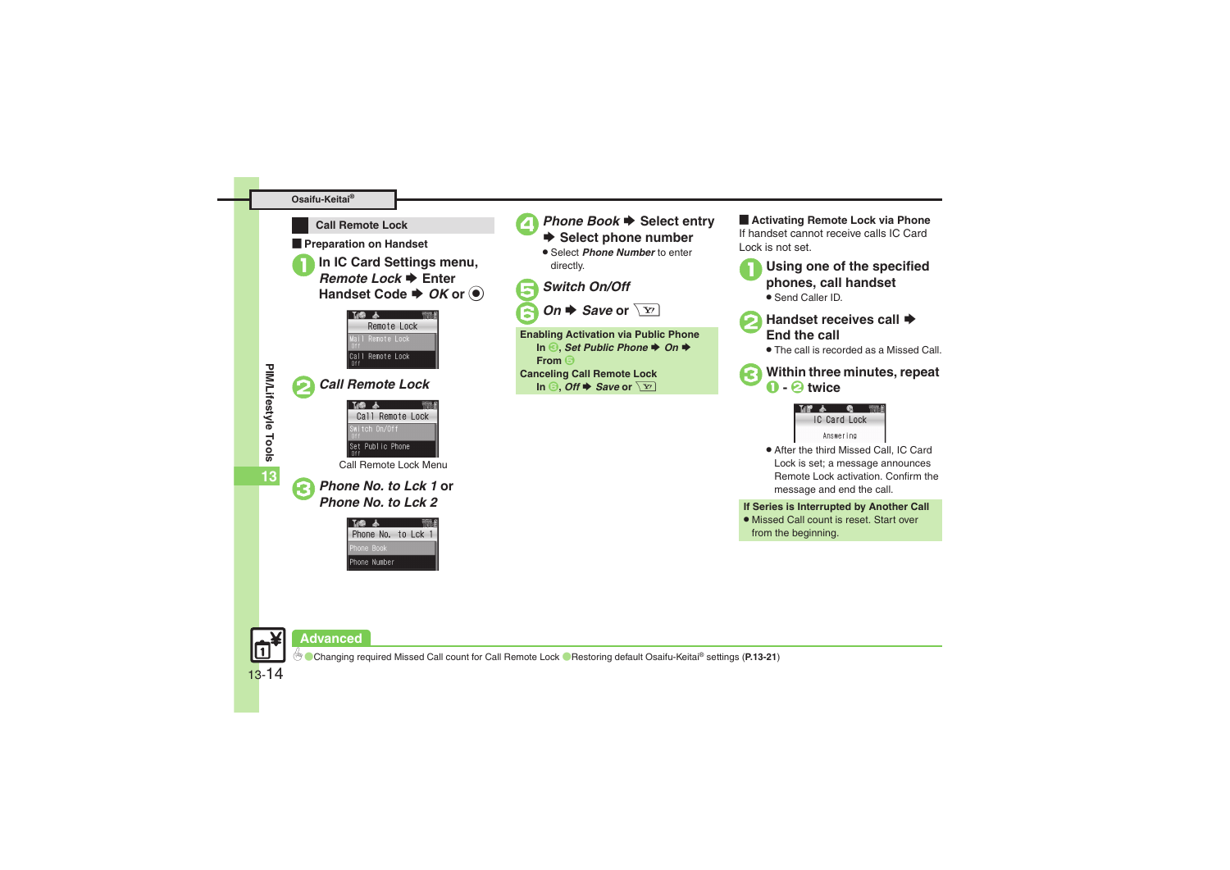#### **Osaifu-Keitai®**



**Exercise Preparation on Handset** 

**In IC Card Settings menu, Remote Lock → Enter Handset Code**  $\blacktriangleright$  **OK or**  $\textcircled{\tiny{\bullet}}$ 



**13**

| <b>Call Remote Lock</b> |  |
|-------------------------|--|
| 一本                      |  |
| Call Remote Lock        |  |
| witch On/Off            |  |
| Set Public Phone        |  |
| Call Remote Lock Menu   |  |

3*Phone No. to Lck 1* **or** *Phone No. to Lck 2*





# *Phone Book* → Select entry<br>
→ Select phone number

**.** Select *Phone Number* to enter directly.

5*Switch On/Off*

*On*  $\blacktriangleright$  *Save* or  $\sqrt{x}$ 

**Enabling Activation via Public Phone In 3,** *Set Public Phone ♦ On* ♦ **From** 5**Canceling Call Remote Lock**  $\ln$  **6**, Off  $\blacktriangleright$  Save or  $\boxed{Y}$ 

**E** Activating Remote Lock via Phone If handset cannot receive calls IC Card Lock is not set.

- <sup>1</sup>**Using one of the specified phones, call handset** . Send Caller ID.
- 

# **Handset receives call ♦**<br>End the call

. The call is recorded as a Missed Call.

3**Within three minutes, repeat** <sup>1</sup> **-** 2 **twice**



. After the third Missed Call, IC Card Lock is set; a message announces Remote Lock activation. Confirm the message and end the call.

**If Series is Interrupted by Another Call**

. Missed Call count is reset. Start over from the beginning.



# **Advanced**

0([Changing required Missed Call count for Call Remote Lock](#page-20-6) ([Restoring default Osaifu-Keitai](#page-20-7)® settings (**[P.13-21](#page-20-6)**)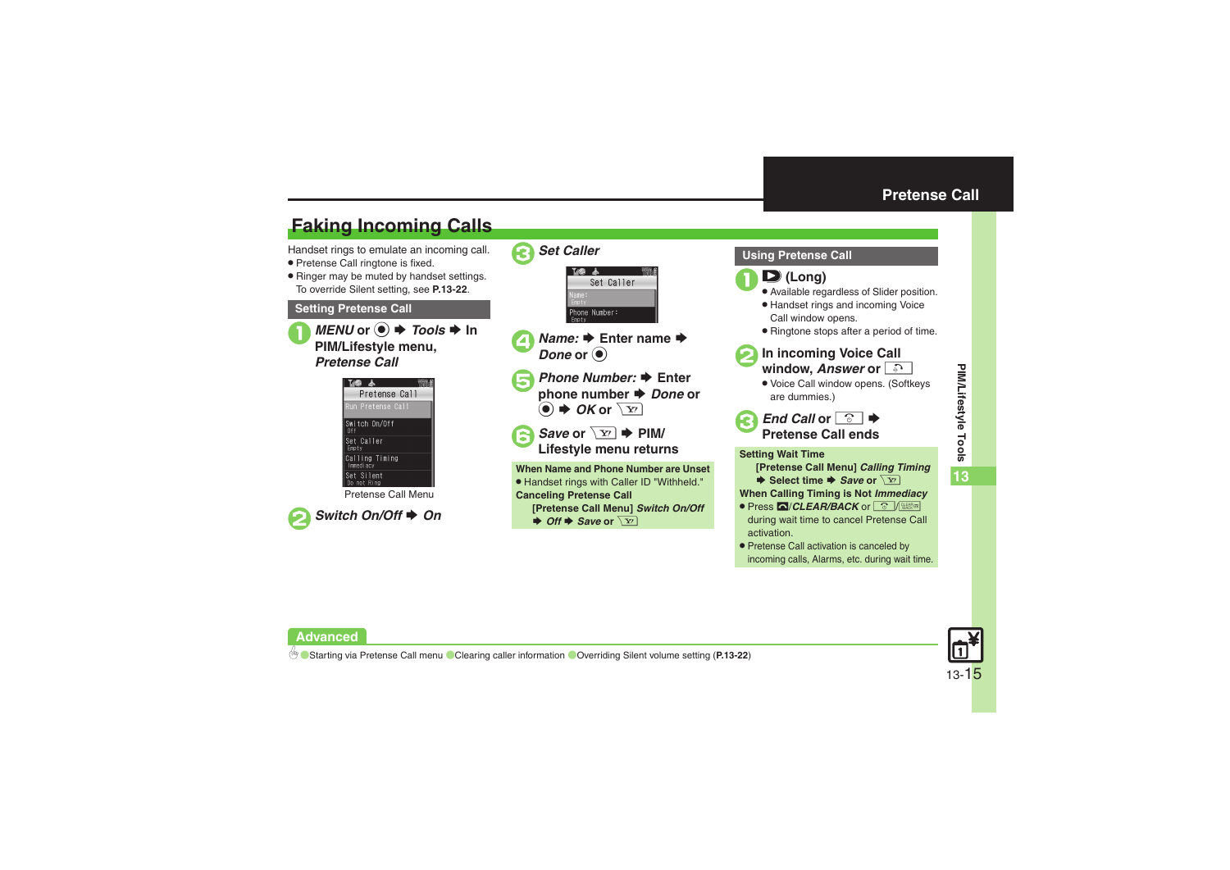# <span id="page-14-1"></span>**Faking Incoming Calls**

Handset rings to emulate an incoming call.

- . Pretense Call ringtone is fixed.
- . Ringer may be muted by handset settings. To override Silent setting, see **[P.13-22](#page-21-2)**.

### **Setting Pretense Call**



 $MENU$  or  $\odot \rightarrow \text{Tools} \rightarrow \text{In}$ **PIM/Lifestyle menu,**  *Pretense Call*



Pretense Call Menu





- **4** *Name:* ♦ Enter name ♦  $\bm{\mathit{Done}}$  or  $\textcircled{\scriptsize{\bullet}}$
- 5*Phone Number:* S **Enter phone** number **→** *Done* or  $\circledcirc \bullet \bullet$  OK or  $\boxed{Y'}$
- Save or  $\boxed{\div}$  PIM/ **Lifestyle menu returns**

**When Name and Phone Number are Unset**. Handset rings with Caller ID "Withheld." **Canceling Pretense Call [Pretense Call Menu]** *Switch On/Off*  $\rightarrow$  *Off*  $\rightarrow$  *Save* or  $\boxed{Y}$ 

## <span id="page-14-0"></span>**Using Pretense Call**

#### $\mathbf 0$ F **(Long)**

- . Available regardless of Slider position.
- . Handset rings and incoming Voice Call window opens.
- . Ringtone stops after a period of time.



- 2**In incoming Voice Call window,**  *Answer* **or** !
	- . Voice Call window opens. (Softkeys are dummies.)



**Setting Wait Time**

**[Pretense Call Menu]** *Calling Timing*

 $\blacktriangleright$  **Select time**  $\blacktriangleright$ *Save* or  $\setminus$   $\overline{Y}$ ?

**When Calling Timing is Not** *Immediacy*

- . Press #/*CLEAR/BACK* or "/\$ during wait time to cancel Pretense Call activation.
- . Pretense Call activation is canceled by incoming calls, Alarms, etc. during wait time.



# **Advanced**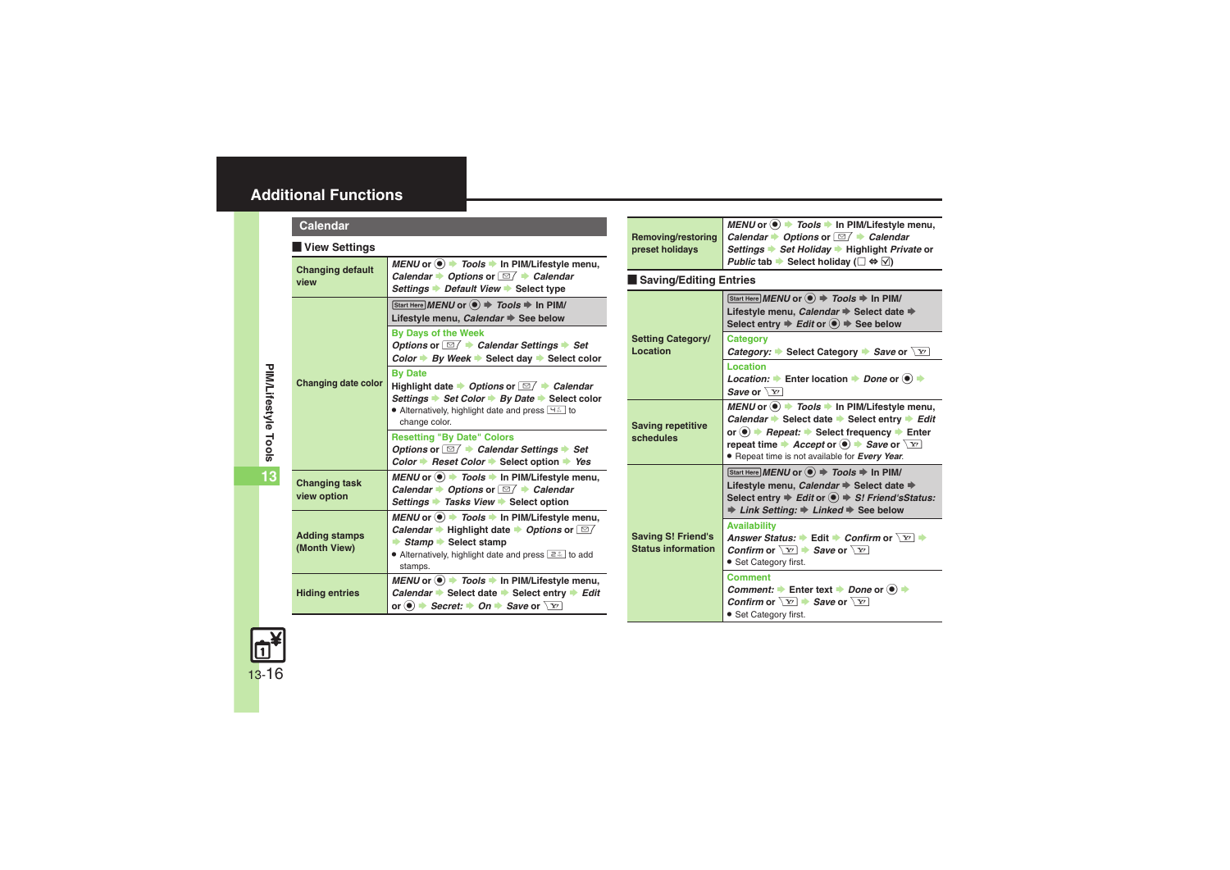<span id="page-15-2"></span><span id="page-15-1"></span><span id="page-15-0"></span>

| Calendar                             |                                                                                                                                                                                                                                                            |
|--------------------------------------|------------------------------------------------------------------------------------------------------------------------------------------------------------------------------------------------------------------------------------------------------------|
| View Settings                        |                                                                                                                                                                                                                                                            |
| <b>Changing default</b><br>view      | MENU or $\odot$ $\rightarrow$ Tools $\rightarrow$ In PIM/Lifestyle menu,<br>Calendar $\rightarrow$ Options or $\Box$ $\rightarrow$ Calendar<br>Settings Default View → Select type                                                                         |
| <b>Changing date color</b>           | Start Here MENU or $\textcircled{\textcircled{\scriptsize{*}}}$ Tools $\textcircled{\textcircled{\scriptsize{*}}}$ In PIM/<br>Lifestyle menu, Calendar See below                                                                                           |
|                                      | <b>By Days of the Week</b><br>Options or $\Box$ $\rightarrow$ Calendar Settings $\rightarrow$ Set<br>Color $\Rightarrow$ By Week $\Rightarrow$ Select day $\Rightarrow$ Select color                                                                       |
|                                      | <b>By Date</b><br>Highlight date $\rightarrow$ Options or $\Box / \rightarrow$ Calendar<br>Settings → Set Color → By Date → Select color<br>• Alternatively, highlight date and press $H^*$ to<br>change color.                                            |
|                                      | <b>Resetting "By Date" Colors</b><br>Options or $\Box$ $\rightarrow$ Calendar Settings $\rightarrow$ Set<br>Color $\rightarrow$ Reset Color $\rightarrow$ Select option $\rightarrow$ Yes                                                                  |
| <b>Changing task</b><br>view option  | MENU or $\odot$ $\rightarrow$ Tools $\rightarrow$ In PIM/Lifestyle menu,<br>Calendar $\rightarrow$ Options or $\Box$ $\rightarrow$ Calendar<br>Settings → Tasks View → Select option                                                                       |
| <b>Adding stamps</b><br>(Month View) | MENU or $\bullet$ $\rightarrow$ Tools $\rightarrow$ In PIM/Lifestyle menu,<br>Calendar • Highlight date • Options or $\Box$<br>$\rightarrow$ Stamp $\rightarrow$ Select stamp<br>• Alternatively, highlight date and press $\boxed{2.2}$ to add<br>stamps. |
| <b>Hiding entries</b>                | MENU or $\odot$ $\rightarrow$ Tools $\rightarrow$ In PIM/Lifestyle menu,<br>Calendar $\Rightarrow$ Select date $\Rightarrow$ Select entry $\Rightarrow$ Edit<br>or $\bullet$ $\bullet$ Secret: $\bullet$ On $\bullet$ Save or $\boxed{Y}$                  |

| Removing/restoring<br>preset holidays                  | MENU or $\odot$ $\rightarrow$ Tools $\rightarrow$ In PIM/Lifestyle menu,<br>Calendar $\rightarrow$ Options or $\Box$ $\rightarrow$ Calendar<br>Settings → Set Holiday → Highlight Private or<br>Public tab $\blacktriangleright$ Select holiday ( $\Box \Leftrightarrow \Box$ )                                                                        |
|--------------------------------------------------------|--------------------------------------------------------------------------------------------------------------------------------------------------------------------------------------------------------------------------------------------------------------------------------------------------------------------------------------------------------|
| Saving/Editing Entries                                 |                                                                                                                                                                                                                                                                                                                                                        |
|                                                        | Start Here MENU or $\textcircled{\textcircled{\textcirc}}$ $\Rightarrow$ Tools $\Rightarrow$ In PIM/<br>Lifestyle menu, Calendar → Select date →<br>Select entry $\Rightarrow$ Edit or $\circledcirc$ $\Rightarrow$ See below                                                                                                                          |
| <b>Setting Category/</b><br>Location                   | Category<br><i>Category:</i> $\blacktriangleright$ Select Category $\blacktriangleright$ <i>Save</i> or $\boxed{Y}$                                                                                                                                                                                                                                    |
|                                                        | Location<br>Location: $\rightarrow$ Enter location $\rightarrow$ Done or $\odot \rightarrow$<br>Save or $\sqrt{Y}$                                                                                                                                                                                                                                     |
| <b>Saving repetitive</b><br>schedules                  | MENU or $\circledast$ $\rightarrow$ Tools $\rightarrow$ In PIM/Lifestyle menu,<br>Calendar Select date Select entry $\rightarrow$ Edit<br>or $\bullet$ $\bullet$ Repeat: $\bullet$ Select frequency $\bullet$ Enter<br>repeat time $\rightarrow$ Accept or $\odot$ $\rightarrow$ Save or $\boxed{Y}$<br>• Repeat time is not available for Every Year. |
|                                                        | Start Here MENU or $\textcircled{\textcircled{\scriptsize{*}}}$ Tools $\textcircled{\textcircled{\scriptsize{*}}}$ In PIM/<br>Lifestyle menu, Calendar → Select date →<br>Select entry $\Rightarrow$ Edit or $\circledast$ $\Rightarrow$ S! Friend's Status:<br>$\Rightarrow$ Link Setting: $\Rightarrow$ Linked $\Rightarrow$ See below               |
| <b>Saving S! Friend's</b><br><b>Status information</b> | <b>Availability</b><br>Answer Status: $\blacktriangleright$ Edit $\blacktriangleright$ Confirm or $\boxed{Y}$ $\blacktriangleright$<br>Confirm or $\sqrt{x}$ $\rightarrow$ Save or $\sqrt{x}$<br>• Set Category first.                                                                                                                                 |
|                                                        | Comment<br>Comment: $\rightarrow$ Enter text $\rightarrow$ Done or $\circledcirc$ $\rightarrow$<br>Confirm or $\sqrt{x}$ $\rightarrow$ Save or $\sqrt{x}$<br>• Set Category first.                                                                                                                                                                     |

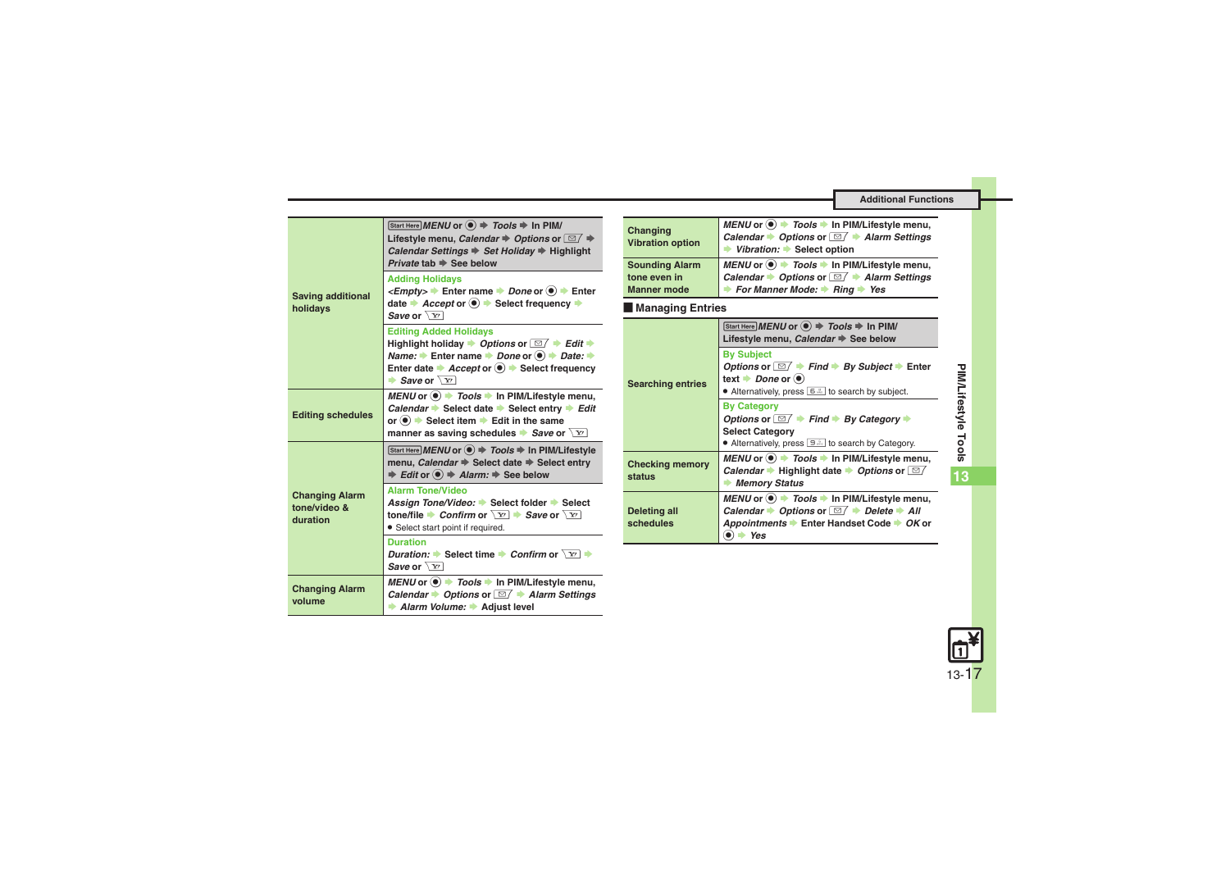<span id="page-16-0"></span>

| <b>Saving additional</b><br>holidays              | Start Here MENU or $\textcircled{\textcircled{\textcirc}} \Rightarrow$ Tools $\Rightarrow$ In PIM/<br>Lifestyle menu, Calendar $\Rightarrow$ Options or $\Box$ $\Rightarrow$<br>Calendar Settings $\Rightarrow$ Set Holiday $\Rightarrow$ Highlight<br>Private tab $\Rightarrow$ See below                                                                                                        | Ch <sub>i</sub><br>Vib<br>So |
|---------------------------------------------------|---------------------------------------------------------------------------------------------------------------------------------------------------------------------------------------------------------------------------------------------------------------------------------------------------------------------------------------------------------------------------------------------------|------------------------------|
|                                                   | <b>Adding Holidays</b><br><empty> <math>\rightarrow</math> Enter name <math>\rightarrow</math> Done or <math>\odot</math> <math>\rightarrow</math> Enter<br/>date <math>\rightarrow</math> Accept or <math>\odot</math> <math>\rightarrow</math> Select frequency <math>\rightarrow</math><br/>Save or <math>\sqrt{Y}</math></empty>                                                              | ton<br>Ma<br>∎               |
|                                                   | <b>Editing Added Holidays</b><br>Highlight holiday $\rightarrow$ Options or $\boxed{\cong}$ $\rightarrow$ Edit $\rightarrow$<br><i>Name:</i> $\rightarrow$ Enter name $\rightarrow$ <i>Done</i> or $\odot$ $\rightarrow$ <i>Date:</i> $\rightarrow$<br>Enter date $\rightarrow$ <i>Accept</i> or $\odot$ $\rightarrow$ Select frequency<br>$\blacktriangleright$ Save or $\overline{\setminus x}$ | <b>Sea</b>                   |
| <b>Editing schedules</b>                          | MENU or $\circledast$ $\rightarrow$ Tools $\rightarrow$ In PIM/Lifestyle menu,<br>Calendar Select date Select entry Edit<br>or $\left( \bullet \right)$ $\bullet$ Select item $\bullet$ Edit in the same<br>manner as saving schedules $\blacktriangleright$ Save or $\boxed{Y}$                                                                                                                  |                              |
| <b>Changing Alarm</b><br>tone/video &<br>duration | Start Here MENU or $\left( \bullet \right)$ $\Rightarrow$ Tools $\Rightarrow$ In PIM/Lifestyle<br>menu, Calendar → Select date → Select entry<br>$\Rightarrow$ Edit or $\circledast$ $\Rightarrow$ Alarm: $\Rightarrow$ See below                                                                                                                                                                 | Ch <sub>1</sub><br>sta       |
|                                                   | <b>Alarm Tone/Video</b><br>Assign Tone/Video: Select folder Select<br>tone/file Confirm or $\sqrt{x}$ $\rightarrow$ Save or $\sqrt{x}$<br>• Select start point if required.                                                                                                                                                                                                                       | Del<br>sch                   |
|                                                   | <b>Duration</b><br><i>Duration:</i> $\blacktriangleright$ Select time $\blacktriangleright$ <i>Confirm</i> or $\boxed{Y}$<br>Save or $\sqrt{Y}$                                                                                                                                                                                                                                                   |                              |
| <b>Changing Alarm</b><br>volume                   | MENU or $\odot$ $\rightarrow$ Tools $\rightarrow$ In PIM/Lifestyle menu,<br>Calendar $\rightarrow$ Options or $\boxed{\cong}$ $\rightarrow$ Alarm Settings<br>Alarm Volume: Adjust level                                                                                                                                                                                                          |                              |

<span id="page-16-3"></span><span id="page-16-2"></span><span id="page-16-1"></span>

| Changing<br><b>Vibration option</b>                         | <i>MENU</i> or $\circledast$ $\rightarrow$ <i>Tools</i> $\rightarrow$ In PIM/Lifestyle menu,<br>Calendar $\rightarrow$ Options or $\Box / \rightarrow$ Alarm Settings<br>Vibration: Select option               |  |
|-------------------------------------------------------------|-----------------------------------------------------------------------------------------------------------------------------------------------------------------------------------------------------------------|--|
| <b>Sounding Alarm</b><br>tone even in<br><b>Manner</b> mode | <i>MENU</i> or $\circledast$ $\rightarrow$ <i>Tools</i> $\rightarrow$ In PIM/Lifestyle menu,<br>Calendar $\rightarrow$ Options or $\Box / \rightarrow$ Alarm Settings<br><b>► For Manner Mode: ► Ring → Yes</b> |  |
| <b>Managing Entries</b>                                     |                                                                                                                                                                                                                 |  |
| <b>Searching entries</b>                                    | Start Here MENU or $\textcircled{\textcircled{\scriptsize{*}}}$ Tools $\textcircled{\textcircled{\scriptsize{*}}}$ In PIM/<br>Lifestyle menu, Calendar See below                                                |  |
|                                                             | <b>By Subject</b><br>Options or $\Box / \rightarrow$ Find $\rightarrow$ By Subject $\rightarrow$ Enter<br>text $\rightarrow$ Done or $\odot$<br>• Alternatively, press $\boxed{6}$ to search by subject.        |  |
|                                                             | <b>By Category</b><br>Options or $\Box / \rightarrow$ Find $\rightarrow$ By Category $\rightarrow$<br><b>Select Category</b><br>• Alternatively, press <b>Edge by Category</b> .                                |  |
| <b>Checking memory</b><br>status                            | $MEMU$ or $\odot$ $\rightarrow$ <i>Tools</i> $\rightarrow$ In PIM/Lifestyle menu,<br>Calendar • Highlight date • Options or $\square$<br><b>Memory Status</b>                                                   |  |
| <b>Deleting all</b><br>schedules                            | MENU or (●) → Tools → In PIM/Lifestyle menu,<br>Calendar $\rightarrow$ Options or $\Box / \rightarrow$ Delete $\rightarrow$ All<br>Appointments ▶ Enter Handset Code ▶ OK or<br>۰<br>Yes                        |  |



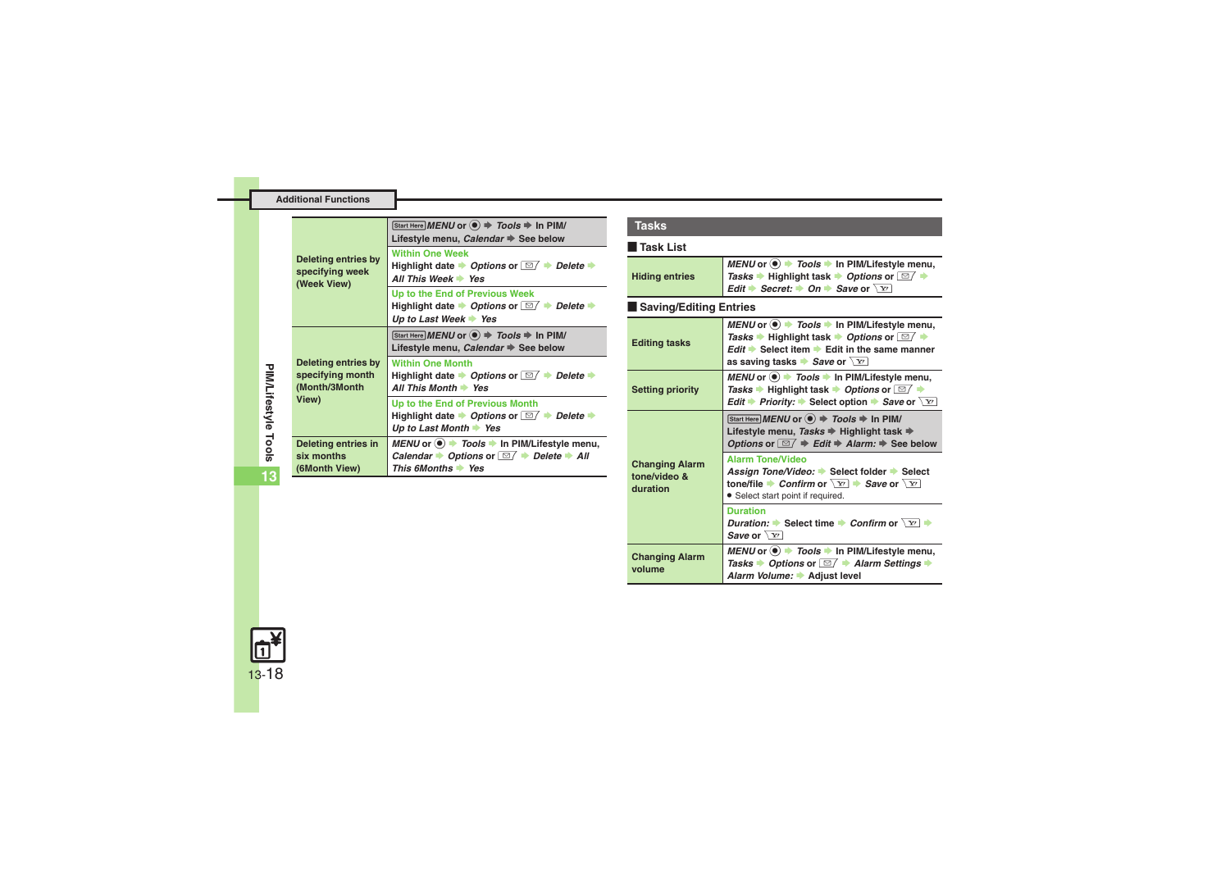<span id="page-17-0"></span>

| <b>Deleting entries by</b><br>specifying week<br>(Week View)      | Start Here MENU or $\textcircled{\textcircled{\scriptsize{*}}}$ Tools $\textup{\textcircled{\scriptsize{*}}}$ In PIM/<br>Lifestyle menu, Calendar → See below             |
|-------------------------------------------------------------------|---------------------------------------------------------------------------------------------------------------------------------------------------------------------------|
|                                                                   | <b>Within One Week</b><br>Highlight date $\rightarrow$ Options or $\boxed{\simeq}$ $\rightarrow$ Delete $\rightarrow$<br>All This Week Yes                                |
|                                                                   | Up to the End of Previous Week<br>Highlight date $\rightarrow$ Options or $\boxed{\cong}$ $\rightarrow$ Delete $\rightarrow$<br>Up to Last Week $\blacktriangleright$ Yes |
| Deleting entries by<br>specifying month<br>(Month/3Month<br>View) | Start Here MENU or $\left( \bullet \right)$ $\Rightarrow$ Tools $\Rightarrow$ In PIM/<br>Lifestyle menu, Calendar → See below                                             |
|                                                                   | <b>Within One Month</b><br>Highlight date $\rightarrow$ Options or $\boxed{\simeq}$ $\rightarrow$ Delete $\rightarrow$<br>All This Month $\rightarrow$ Yes                |
|                                                                   | Up to the End of Previous Month<br>Highlight date $\rightarrow$ Options or $\Box$ $\rightarrow$ Delete $\rightarrow$<br>Up to Last Month $\rightarrow$ Yes                |
| Deleting entries in<br>six months<br>(6Month View)                | MENU or $\bullet$ Tools $\bullet$ In PIM/Lifestyle menu,<br>Calendar $\rightarrow$ Options or $\Box / \rightarrow$ Delete $\rightarrow$ All<br>This 6Months Yes           |

#### <span id="page-17-5"></span><span id="page-17-4"></span><span id="page-17-3"></span>[ **Task List Example Saving/Editing Entries TasksHiding entries** *MENU* or ● *Tools* **▶ In PIM/Lifestyle menu,** *Tasks*  $\rightarrow$  Highlight task  $\rightarrow$  *Options* or ⊠  $\rightarrow$ *Edit*  $\rightarrow$  *Secret:*  $\rightarrow$  *On*  $\rightarrow$  *Save* or  $\boxed{Y}$ **Editing tasks** *MENU* or ● *Tools* **→ In PIM/Lifestyle menu,**  $\overline{\phantom{a}}$  Sexteptible Highlight task  $\overline{\phantom{a}}$  *Options* or  $\overline{\phantom{a}}$   $\overline{\phantom{a}}$ **Edit**  $\rightarrow$  Select item  $\rightarrow$  Edit in the same manner **as saving tasks <b>Save** or  $\sqrt{x}$ **Setting priority** *MENU* or  $\circledbullet$  **→ Tools**  $\bullet$  In PIM/Lifestyle menu,  $\overline{\phantom{a}}$  T*asks*  $\overline{\phantom{a}}$  Highlight task  $\overline{\phantom{a}}$  *Options* or  $\overline{\phantom{a}}$   $\overline{\phantom{a}}$ *Edit* ♦ *Priority:* ♦ Select option ♦ *Save* or  $\boxed{Y}$ **Changing Alarm tone/video & duration** $\boxed{\text{Start Here}}$  *MENU* or  $\textcircled{\textcircled{\textcirc}} \Rightarrow$  *Tools*  $\Rightarrow$  In PIM/ **Lifestyle menu, Tasks**  $\Rightarrow$  Highlight task  $\Rightarrow$ *Options* or  $\boxed{\triangle}$  **F**  $\Rightarrow$  *Edit*  $\Rightarrow$  *Alarm:*  $\Rightarrow$  See below **Alarm Tone/Video**Assign Tone/Video: ▶ Select folder ▶ Select **tone/file**  $\blacktriangleright$ *Confirm* or  $\boxed{Y}$   $\blacktriangleright$  *Save* or  $\boxed{Y}$ . Select start point if required. **DurationDuration: Select time Confirm or**  $\boxed{Y}$ *Save* or  $\sqrt{x}$ **Changing Alarm volume***MENU* or **● F** Tools  $\rightarrow$  In PIM/Lifestyle menu, *Tasks* ▶ *Options* or  $\boxed{\trianglelefteq}$  *★ Alarm Settings* **★ Alarm Volume: Adjust level**

<span id="page-17-1"></span>**PIM/Lifestyle Tools**

PIM/Lifestyle Tools

<span id="page-17-2"></span>**13**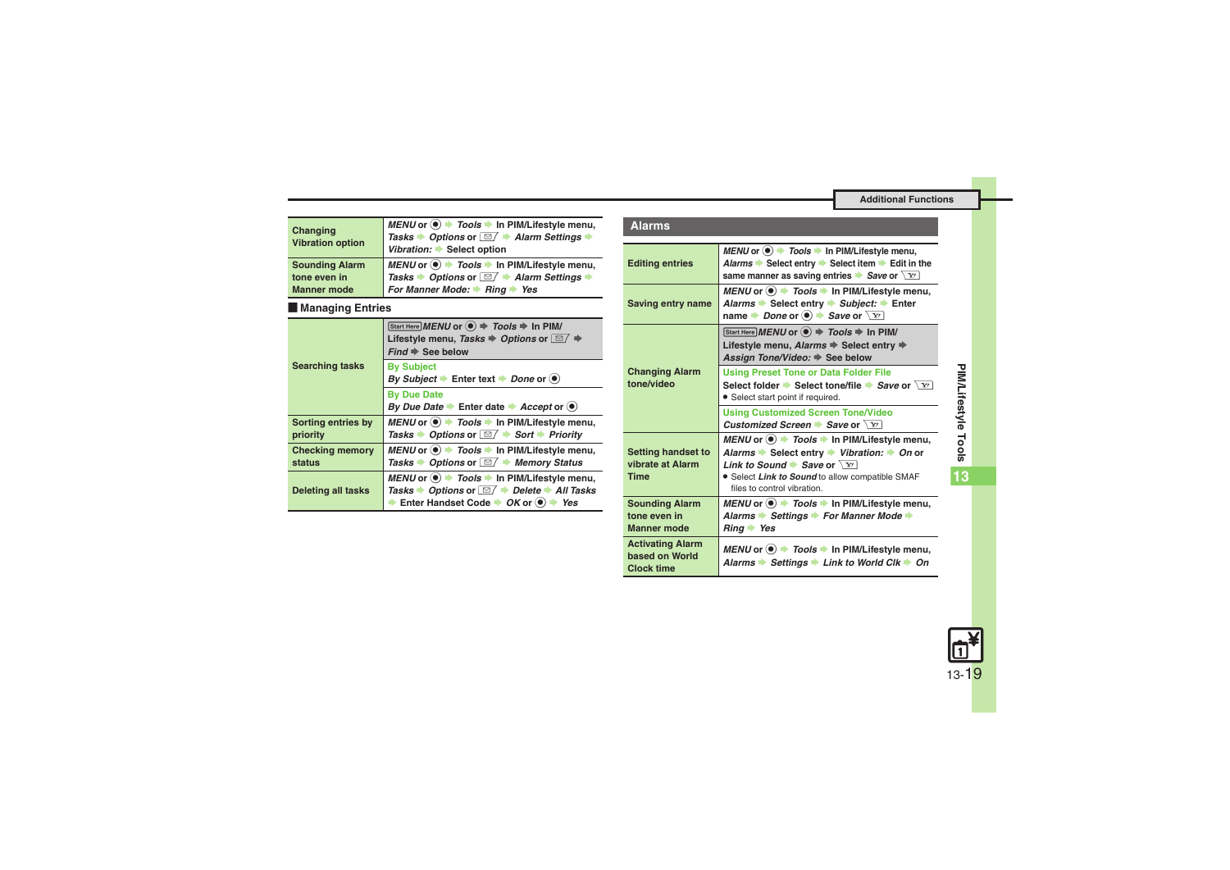| ۰, | <b>Alarms</b> |
|----|---------------|

| Changing<br><b>Vibration option</b> | MENU or ● → Tools → In PIM/Lifestyle menu,<br>Tasks → Options or <b>D</b> + Alarm Settings<br>Vibration: Select option |
|-------------------------------------|------------------------------------------------------------------------------------------------------------------------|
| <b>Sounding Alarm</b>               | MENU or ● → Tools → In PIM/Lifestyle menu,                                                                             |
| tone even in                        | Tasks → Options or <b>DI</b> → Alarm Settings                                                                          |
| <b>Manner mode</b>                  | For Manner Mode: $\rightarrow$ Ring $\rightarrow$ Yes                                                                  |

### [ **Managing Entries**

<span id="page-18-4"></span><span id="page-18-3"></span><span id="page-18-2"></span><span id="page-18-1"></span>

|                                  | Start Here MENU or $\textcircled{\textcircled{\textcirc}}$ $\Rightarrow$ Tools $\Rightarrow$ In PIM/<br>Lifestyle menu, Tasks $\Rightarrow$ Options or $\Box$ $\Rightarrow$<br>$Find \Rightarrow$ See below                             |
|----------------------------------|-----------------------------------------------------------------------------------------------------------------------------------------------------------------------------------------------------------------------------------------|
| <b>Searching tasks</b>           | <b>By Subject</b><br>By Subject $\blacktriangleright$ Enter text $\blacktriangleright$ Done or $\blacklozenge$                                                                                                                          |
|                                  | <b>By Due Date</b><br>By Due Date Enter date Accept or $\bullet$                                                                                                                                                                        |
| Sorting entries by<br>priority   | MENU or $\odot$ $\rightarrow$ Tools $\rightarrow$ In PIM/Lifestyle menu,<br>Tasks $\rightarrow$ Options or $\Box / \rightarrow$ Sort $\rightarrow$ Priority                                                                             |
| <b>Checking memory</b><br>status | MENU or $\textcircled{\tiny{\textcircled{\#}}}$ Tools $\textuparrow$ In PIM/Lifestyle menu,<br>Tasks $\rightarrow$ Options or $\Box / \rightarrow$ Memory Status                                                                        |
| <b>Deleting all tasks</b>        | MENU or $\bullet$ Tools $\bullet$ In PIM/Lifestyle menu,<br>Tasks $\rightarrow$ Options or $\boxed{\simeq}$ $\rightarrow$ Delete $\rightarrow$ All Tasks<br>Enter Handset Code $\rightarrow$ OK or $\odot$<br>$\blacktriangleright$ Yes |

<span id="page-18-9"></span><span id="page-18-8"></span><span id="page-18-7"></span><span id="page-18-6"></span><span id="page-18-5"></span><span id="page-18-0"></span>

| акинг                                                          |                                                                                                                                                                                                                                                           |
|----------------------------------------------------------------|-----------------------------------------------------------------------------------------------------------------------------------------------------------------------------------------------------------------------------------------------------------|
| <b>Editing entries</b>                                         | MENU or $\odot$ $\rightarrow$ Tools $\rightarrow$ In PIM/Lifestyle menu,<br>Alarms → Select entry → Select item → Edit in the<br>same manner as saving entries $\blacktriangleright$ Save or $\boxed{Y}$                                                  |
| Saving entry name                                              | MENU or . Tools → In PIM/Lifestyle menu,<br>Alarms Select entry Subject: Enter<br>name Done or $\odot$ $\rightarrow$ Save or $\boxed{Y}$                                                                                                                  |
|                                                                | Start Here MENU or $\textcircled{\textcircled{\scriptsize{*}}}$ Tools $\textcircled{\textcircled{\scriptsize{*}}}$ In PIM/<br>Lifestyle menu, Alarms → Select entry →<br>Assign Tone/Video: ♦ See below                                                   |
| <b>Changing Alarm</b><br>tone/video                            | <b>Using Preset Tone or Data Folder File</b><br>Select folder Select tone/file Save or $\sqrt{Y}$<br>• Select start point if required.                                                                                                                    |
|                                                                | <b>Using Customized Screen Tone/Video</b><br>Customized Screen Save or $\sqrt{x}$                                                                                                                                                                         |
| <b>Setting handset to</b><br>vibrate at Alarm<br><b>Time</b>   | MENU or $\odot$ $\rightarrow$ Tools $\rightarrow$ In PIM/Lifestyle menu,<br>Alarms → Select entry → Vibration: → On or<br>Link to Sound $\rightarrow$ Save or $\sqrt{x}$<br>• Select Link to Sound to allow compatible SMAF<br>files to control vibration |
| <b>Sounding Alarm</b><br>tone even in<br><b>Manner</b> mode    | MENU or $\bullet$ Tools $\bullet$ In PIM/Lifestyle menu,<br>Alarms Settings > For Manner Mode →<br>$Ring \rightarrow Yes$                                                                                                                                 |
| <b>Activating Alarm</b><br>based on World<br><b>Clock time</b> | MENU or $\bullet$ Tools $\bullet$ In PIM/Lifestyle menu,<br>Alarms → Settings → Link to World Clk → On                                                                                                                                                    |

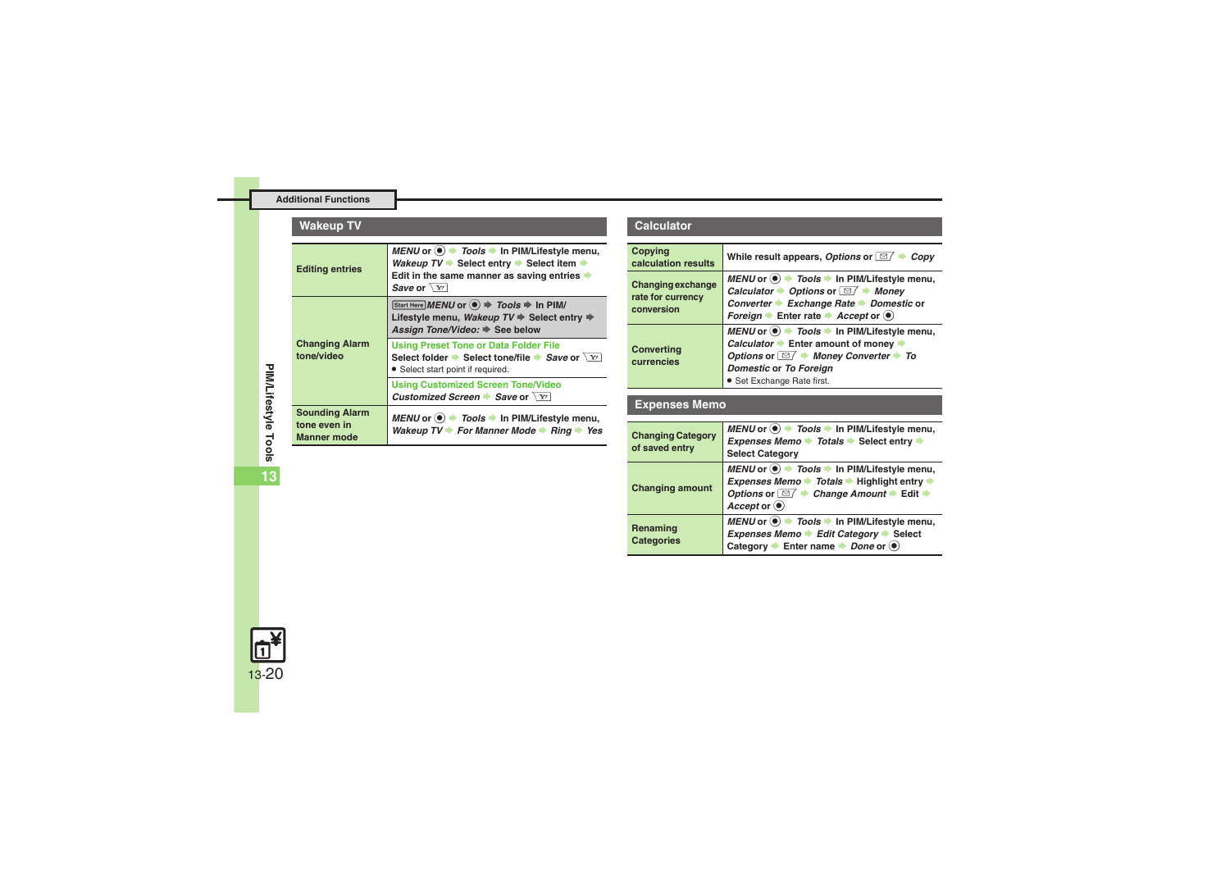<span id="page-19-2"></span><span id="page-19-1"></span><span id="page-19-0"></span>

| <b>Wakeup TV</b>                                            |                                                                                                                                                                                    |
|-------------------------------------------------------------|------------------------------------------------------------------------------------------------------------------------------------------------------------------------------------|
| <b>Editing entries</b>                                      | MENU or ● → Tools → In PIM/Lifestyle menu,<br>Wakeup $TV$ Select entry Select item $\Rightarrow$<br>Edit in the same manner as saving entries $\Rightarrow$<br>Save or $\sqrt{Y}$  |
| <b>Changing Alarm</b><br>tone/video                         | Start Here MENU or ● → Tools → In PIM/<br>Lifestyle menu, Wakeup $TV \Rightarrow$ Select entry $\Rightarrow$<br>Assign Tone/Video: → See below                                     |
|                                                             | <b>Using Preset Tone or Data Folder File</b><br>Select folder $\blacktriangleright$ Select tone/file $\blacktriangleright$ Save or $\chi_{Y}$<br>• Select start point if required. |
|                                                             | <b>Using Customized Screen Tone/Video</b><br>Customized Screen Save or $\chi$ r                                                                                                    |
| <b>Sounding Alarm</b><br>tone even in<br><b>Manner mode</b> | MENU or $\textcircled{\textcircled{\textcirc}}$ > Tools $\textbullet$ In PIM/Lifestyle menu,<br>Wakeup $TV \rightarrow$ For Manner Mode $\rightarrow$ Ring $\rightarrow$ Yes       |

#### **Calculator**

<span id="page-19-4"></span><span id="page-19-3"></span>

| Copying<br>calculation results                              | While result appears, Options or $\Box$ $\rightarrow$ Copy                                                                                                                                                                                                                                       |
|-------------------------------------------------------------|--------------------------------------------------------------------------------------------------------------------------------------------------------------------------------------------------------------------------------------------------------------------------------------------------|
| <b>Changing exchange</b><br>rate for currency<br>conversion | MENU or $\odot$ $\rightarrow$ Tools $\rightarrow$ In PIM/Lifestyle menu,<br>Calculator $\rightarrow$ Options or $\Box / \rightarrow$ Money<br>Converter ▶ Exchange Rate ▶ Domestic or<br>Foreign $\blacktriangleright$ Enter rate $\blacktriangleright$ Accept or $\textcircled{\tiny{\bullet}}$ |
| <b>Converting</b><br>currencies                             | MENU or $\odot$ $\rightarrow$ Tools $\rightarrow$ In PIM/Lifestyle menu,<br>Calculator Enter amount of money<br>Options or $\Box$ Money Converter $\rightarrow$ To<br>Domestic or To Foreign<br>· Set Exchange Rate first.                                                                       |

# <span id="page-19-5"></span>**Expenses Memo**

<span id="page-19-8"></span><span id="page-19-7"></span><span id="page-19-6"></span>

| <b>Changing Category</b><br>of saved entry | MENU or $\circledast$ $\Rightarrow$ Tools $\Rightarrow$ In PIM/Lifestyle menu,<br>Expenses Memo $\rightarrow$ Totals $\rightarrow$ Select entry $\rightarrow$<br><b>Select Category</b>                                           |
|--------------------------------------------|-----------------------------------------------------------------------------------------------------------------------------------------------------------------------------------------------------------------------------------|
| <b>Changing amount</b>                     | MENU or $\odot$ $\rightarrow$ Tools $\rightarrow$ In PIM/Lifestyle menu,<br>Expenses Memo → Totals → Highlight entry →<br>Options or $\Box$ $\rightarrow$ Change Amount $\rightarrow$ Edit $\rightarrow$<br>$Accept \circledcirc$ |
| Renaming<br><b>Categories</b>              | MENU or (.) → Tools → In PIM/Lifestyle menu,<br>Expenses Memo → Edit Category → Select<br>Category $\rightarrow$ Enter name $\rightarrow$ Done or $\odot$                                                                         |

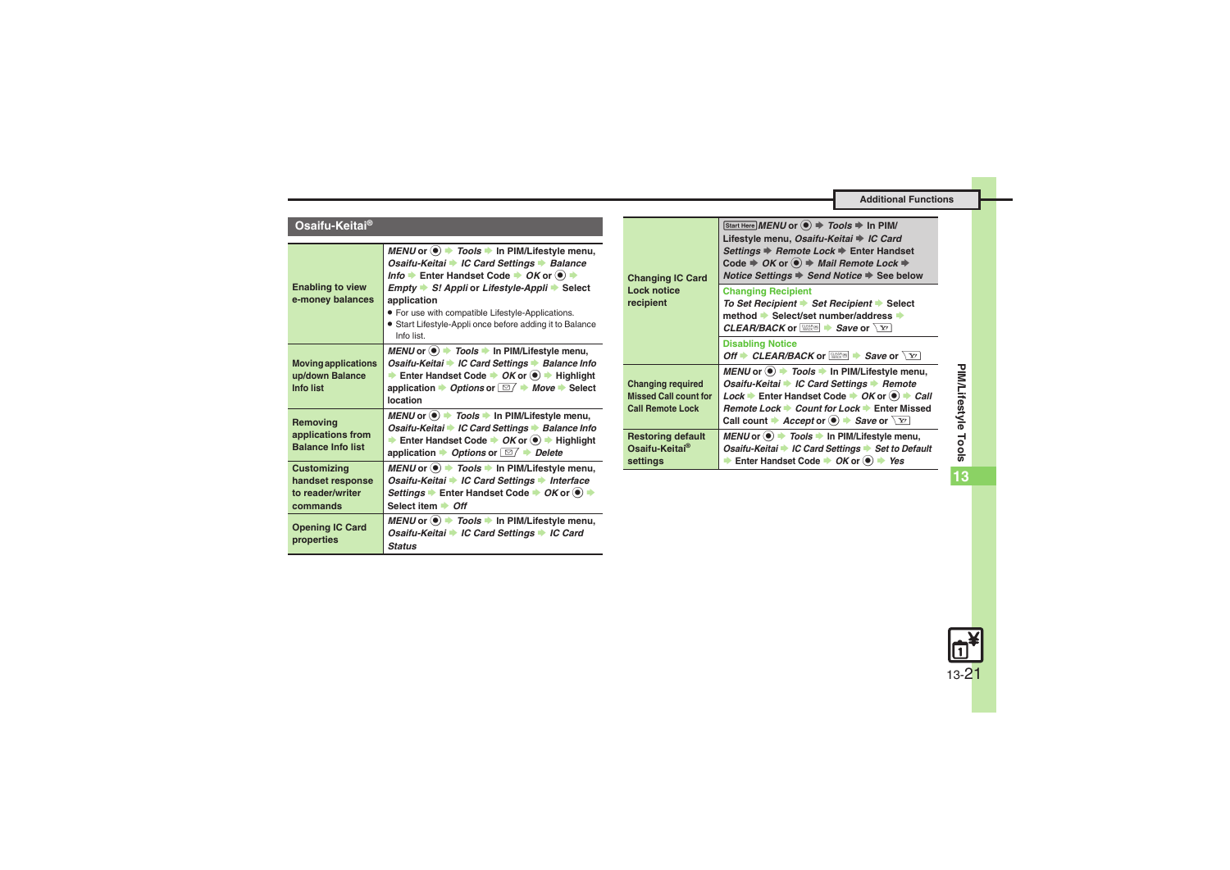| Osaifu-Keitai® |  |
|----------------|--|
|                |  |

<span id="page-20-4"></span><span id="page-20-3"></span><span id="page-20-2"></span><span id="page-20-1"></span><span id="page-20-0"></span>

| <b>Enabling to view</b><br>e-money balances                            | MENU or $\circledast$ $\rightarrow$ Tools $\rightarrow$ In PIM/Lifestyle menu,<br>Osaifu-Keitai → IC Card Settings → Balance<br>Info → Enter Handset Code → OK or ( $\bullet$ ) →<br>$Empty \rightarrow SI$ Appli or Lifestyle-Appli $\rightarrow$ Select<br>application<br>• For use with compatible Lifestyle-Applications.<br>• Start Lifestyle-Appli once before adding it to Balance<br>Info list. |
|------------------------------------------------------------------------|---------------------------------------------------------------------------------------------------------------------------------------------------------------------------------------------------------------------------------------------------------------------------------------------------------------------------------------------------------------------------------------------------------|
| <b>Moving applications</b><br>up/down Balance<br>Info list             | MENU or $\odot$ $\rightarrow$ Tools $\rightarrow$ In PIM/Lifestyle menu,<br>Osaifu-Keitai → IC Card Settings → Balance Info<br>Enter Handset Code → OK or (.) → Highlight<br>application $\Rightarrow$ Options or $\boxed{\simeq}$ $\Rightarrow$ Move $\Rightarrow$ Select<br>location                                                                                                                  |
| Removing<br>applications from<br><b>Balance Info list</b>              | MENU or $\odot$ $\rightarrow$ Tools $\rightarrow$ In PIM/Lifestyle menu,<br>Osaifu-Keitai → IC Card Settings → Balance Info<br>Enter Handset Code $\rightarrow$ OK or $\textcircled{\textcircled{\textcirc}}$ Highlight<br>application $\rightarrow$ Options or $\Box$ $\rightarrow$ Delete                                                                                                             |
| <b>Customizing</b><br>handset response<br>to reader/writer<br>commands | MENU or . $\rightarrow$ Tools → In PIM/Lifestyle menu,<br>Osaifu-Keitai → IC Card Settings → Interface<br>Settings ▶ Enter Handset Code ▶ OK or (●) ▶<br>Select item $\rightarrow$ Off                                                                                                                                                                                                                  |
| <b>Opening IC Card</b><br>properties                                   | MENU or $\bullet$ Tools $\bullet$ In PIM/Lifestyle menu,<br>Osaifu-Keitai → IC Card Settings → IC Card<br><b>Status</b>                                                                                                                                                                                                                                                                                 |

<span id="page-20-7"></span><span id="page-20-6"></span><span id="page-20-5"></span>

| <b>Changing IC Card</b><br><b>Lock notice</b><br>recipient                          | Start Here MENU or $\textcircled{\textcircled{\textcirc}}$ $\Rightarrow$ Tools $\Rightarrow$ In PIM/<br>Lifestyle menu, Osaifu-Keitai → IC Card<br>Settings $\Rightarrow$ Remote Lock $\Rightarrow$ Enter Handset<br>Code $\Rightarrow$ OK or $\textcircled{\textcircled{\textcirc}}$ $\Rightarrow$ Mail Remote Lock $\Rightarrow$<br>Notice Settings → Send Notice → See below |
|-------------------------------------------------------------------------------------|---------------------------------------------------------------------------------------------------------------------------------------------------------------------------------------------------------------------------------------------------------------------------------------------------------------------------------------------------------------------------------|
|                                                                                     | <b>Changing Recipient</b><br>To Set Recipient → Set Recipient → Select<br>method → Select/set number/address →<br><b>CLEAR/BACK</b> or $\boxed{\mathbb{R}}$ <b>Save</b> or $\boxed{\mathbf{Y}}$                                                                                                                                                                                 |
|                                                                                     | <b>Disabling Notice</b><br>Off CLEAR/BACK or $\mathbb{R}$ Clear $\sqrt{Y}$                                                                                                                                                                                                                                                                                                      |
| <b>Changing required</b><br><b>Missed Call count for</b><br><b>Call Remote Lock</b> | MENU or $\odot$ Tools $\rightarrow$ In PIM/Lifestyle menu,<br>Osaifu-Keitai → IC Card Settings → Remote<br>Lock Enter Handset Code $\rightarrow$ OK or $\left( \bullet \right) \rightarrow$ Call<br>Remote Lock → Count for Lock → Enter Missed<br>Call count $\rightarrow$ Accept or $\odot$ $\rightarrow$ Save or $\boxed{Y}$                                                 |
| <b>Restoring default</b><br>Osaifu-Keitai®<br>settings                              | MENU or ● → Tools → In PIM/Lifestyle menu,<br>Osaifu-Keitai → IC Card Settings → Set to Default<br>Enter Handset Code $\rightarrow OK$ or $\bullet$ $\rightarrow Yes$                                                                                                                                                                                                           |

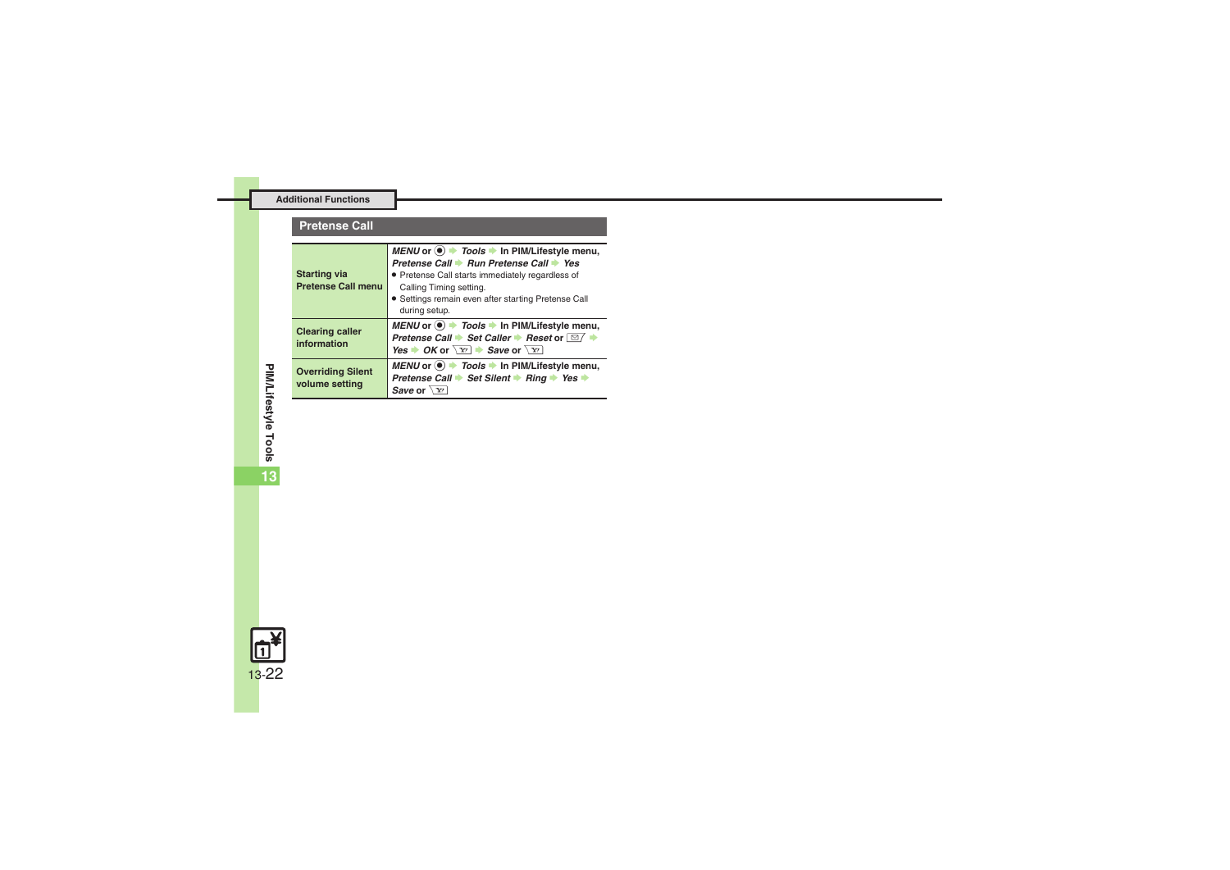#### **Pretense Call**

<span id="page-21-2"></span><span id="page-21-1"></span><span id="page-21-0"></span>

| <b>Starting via</b><br><b>Pretense Call menu</b> | MENU or $\bullet$ Tools $\bullet$ In PIM/Lifestyle menu,<br>Pretense Call → Run Pretense Call → Yes<br>• Pretense Call starts immediately regardless of<br>Calling Timing setting.<br>• Settings remain even after starting Pretense Call<br>during setup. |
|--------------------------------------------------|------------------------------------------------------------------------------------------------------------------------------------------------------------------------------------------------------------------------------------------------------------|
| <b>Clearing caller</b><br>information            | MENU or $\odot$ $\rightarrow$ Tools $\rightarrow$ In PIM/Lifestyle menu,<br>Pretense Call → Set Caller → Reset or $\boxed{\cong}$ +<br>Yes $\rightarrow$ OK or $\boxed{Y}$ $\rightarrow$ Save or $\boxed{Y}$                                               |
| <b>Overriding Silent</b><br>volume setting       | MENU or $\odot$ $\rightarrow$ Tools $\rightarrow$ In PIM/Lifestyle menu,<br>Pretense Call → Set Silent → Ring → Yes →<br>Save or $\sqrt{Y}$                                                                                                                |